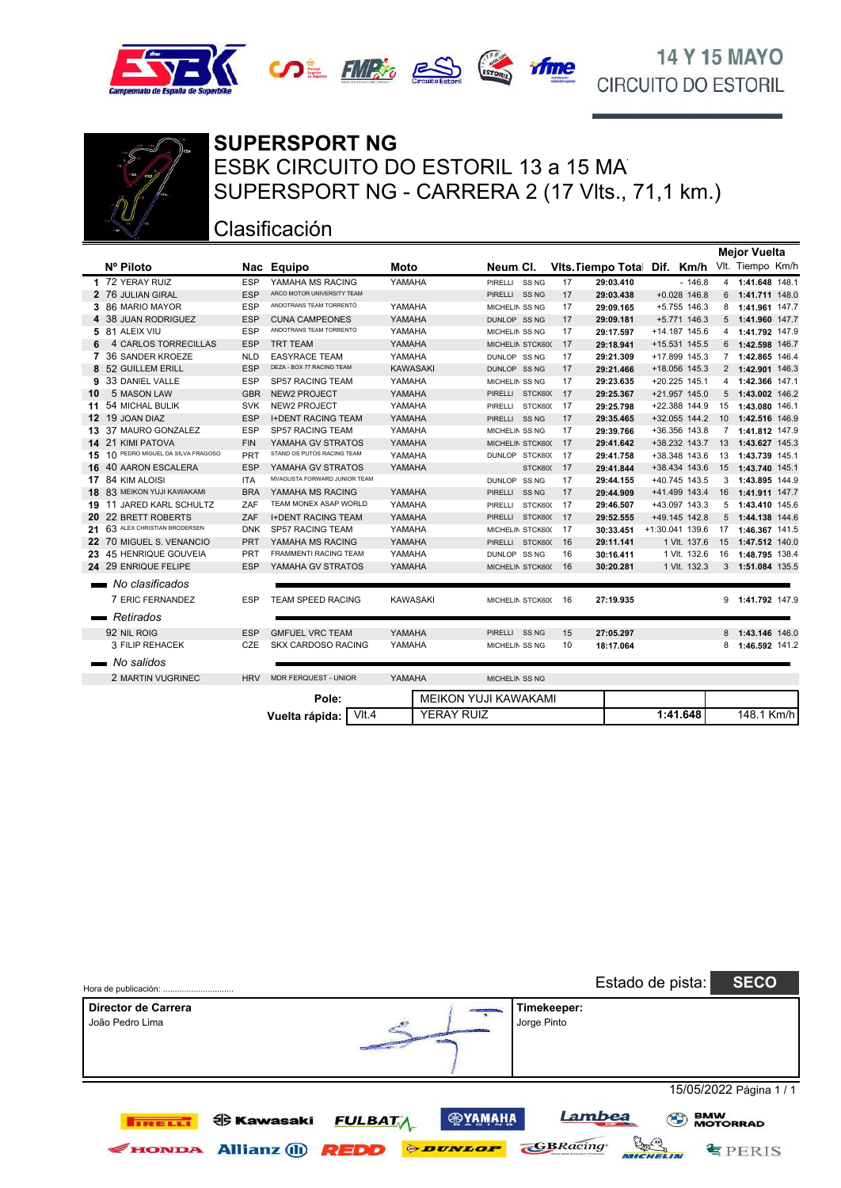





## ESBK CIRCUITO DO ESTORIL 13 a 15 MA **SUPERSPORT NG** SUPERSPORT NG - CARRERA 2 (17 Vlts., 71,1 km.)

#### Clasificación

**Vuelta rápida:**

|                               |                                  |            |                                    |                 |                   |                             |                  |      |                           |                 |                | <b>Mejor Vuelta</b> |  |
|-------------------------------|----------------------------------|------------|------------------------------------|-----------------|-------------------|-----------------------------|------------------|------|---------------------------|-----------------|----------------|---------------------|--|
|                               | Nº Piloto                        |            | Nac Equipo                         | <b>Moto</b>     |                   | Neum CI.                    |                  |      | <b>Vits. Tiempo Total</b> | Dif. Km/h       |                | Vlt. Tiempo Km/h    |  |
|                               | 1 72 YERAY RUIZ                  | <b>ESP</b> | YAMAHA MS RACING                   | YAMAHA          |                   | PIRELLI SS NG               |                  | 17   | 29:03.410                 | $-146.8$        |                | 4 1:41.648 148.1    |  |
|                               | 2 76 JULIAN GIRAL                | <b>ESP</b> | ARCO MOTOR UNIVERSITY TEAM         |                 |                   | PIRELLI SS NG               |                  | 17   | 29:03.438                 | $+0.028$ 146.8  |                | 6 1:41.711 148.0    |  |
|                               | 3 86 MARIO MAYOR                 | <b>ESP</b> | ANDOTRANS TEAM TORRENTÓ            | YAMAHA          |                   | MICHELIN SS NG              |                  | 17   | 29:09.165                 | +5.755 146.3    |                | 8 1:41.961 147.7    |  |
|                               | 4 38 JUAN RODRIGUEZ              | <b>ESP</b> | <b>CUNA CAMPEONES</b>              | YAMAHA          |                   | DUNLOP SS NG                |                  | 17   | 29:09.181                 | +5.771 146.3    | 5              | 1:41.960 147.7      |  |
|                               | 5 81 ALEIX VIU                   | <b>ESP</b> | ANDOTRANS TEAM TORRENTÓ            | YAMAHA          |                   | MICHELIN SS NG              |                  | 17   | 29:17.597                 | +14.187 145.6   | 4              | 1:41.792 147.9      |  |
|                               | 4 CARLOS TORRECILLAS             | <b>ESP</b> | <b>TRT TEAM</b>                    | YAMAHA          |                   | MICHELIN STCK600            |                  | 17   | 29:18.941                 | +15.531 145.5   | 6              | 1:42.598 146.7      |  |
|                               | 7 36 SANDER KROEZE               | <b>NLD</b> | <b>EASYRACE TEAM</b>               | YAMAHA          |                   | DUNLOP SS NG                |                  | 17   | 29:21.309                 | +17.899 145.3   | $7^{\circ}$    | 1:42.865 146.4      |  |
| 8                             | 52 GUILLEM ERILL                 | <b>ESP</b> | DEZA - BOX 77 RACING TEAM          | <b>KAWASAKI</b> |                   | DUNLOP SS NG                |                  | 17   | 29:21.466                 | +18.056 145.3   |                | 2 1:42.901 146.3    |  |
| 9                             | 33 DANIEL VALLE                  | <b>ESP</b> | SP57 RACING TEAM                   | YAMAHA          |                   | MICHELIN SS NG              |                  | 17   | 29:23.635                 | +20.225 145.1   | 4              | 1:42.366 147.1      |  |
| 10                            | 5 MASON LAW                      | <b>GBR</b> | <b>NEW2 PROJECT</b>                | YAMAHA          |                   | PIRELLI STCK600             |                  | 17   | 29:25.367                 | +21.957 145.0   |                | 5 1:43.002 146.2    |  |
|                               | 11 54 MICHAL BULIK               | <b>SVK</b> | <b>NEW2 PROJECT</b>                | YAMAHA          |                   | PIRELLI STCK600             |                  | 17   | 29:25.798                 | +22.388 144.9   | 15             | 1:43.080 146.1      |  |
|                               | 12 19 JOAN DIAZ                  | <b>ESP</b> | <b>I+DENT RACING TEAM</b>          | YAMAHA          |                   | PIRELLI SS NG               |                  | 17   | 29:35.465                 | +32.055 144.2   | 10             | 1:42.516 146.9      |  |
|                               | 13 37 MAURO GONZALEZ             | <b>ESP</b> | SP57 RACING TEAM                   | YAMAHA          |                   | MICHELIN SS NG              |                  | 17   | 29:39.766                 | +36.356 143.8   | $7^{\circ}$    | 1:41.812 147.9      |  |
|                               | 14 21 KIMI PATOVA                | <b>FIN</b> | YAMAHA GV STRATOS                  | YAMAHA          |                   | MICHELIN STCK600            |                  | 17   | 29:41.642                 | +38.232 143.7   | 13             | 1:43.627 145.3      |  |
| 15                            | 10 PEDRO MIGUEL DA SILVA FRAGOSO | PRT        | STAND OS PUTOS RACING TEAM         | YAMAHA          |                   | DUNLOP STCK600              |                  | - 17 | 29:41.758                 | +38.348 143.6   | 13             | 1:43.739 145.1      |  |
|                               | 16 40 AARON ESCALERA             | <b>ESP</b> | YAMAHA GV STRATOS                  | YAMAHA          |                   |                             | STCK600          | 17   | 29:41.844                 | +38.434 143.6   | 15             | 1:43.740 145.1      |  |
|                               | 17 84 KIM ALOISI                 | <b>ITA</b> | MVAGUSTA FORWARD JUNIOR TEAM       |                 |                   | DUNLOP SS NG                |                  | 17   | 29:44.155                 | +40.745 143.5   |                | 3 1:43.895 144.9    |  |
|                               | 18 83 MEIKON YUJI KAWAKAMI       | <b>BRA</b> | YAMAHA MS RACING                   | YAMAHA          |                   | <b>PIRELLI</b>              | SS <sub>NG</sub> | 17   | 29:44.909                 | +41.499 143.4   | 16             | 1:41.911 147.7      |  |
| 19.                           | 11 JARED KARL SCHULTZ            | ZAF        | TEAM MONEX ASAP WORLD              | YAMAHA          |                   | PIRELLI                     | STCK600          | 17   | 29:46.507                 | +43.097 143.3   | 5              | 1:43.410 145.6      |  |
| 20.                           | 22 BRETT ROBERTS                 | ZAF        | <b>I+DENT RACING TEAM</b>          | YAMAHA          |                   | PIRELLI                     | STCK600          | 17   | 29:52.555                 | +49.145 142.8   | 5 <sup>5</sup> | 1:44.138 144.6      |  |
| 21                            | 63 ALEX CHRISTIAN BRODERSEN      | <b>DNK</b> | <b>SP57 RACING TEAM</b>            | YAMAHA          |                   | MICHELIN STCK600            |                  | 17   | 30:33.451                 | +1:30.041 139.6 | 17             | 1:46.367 141.5      |  |
|                               | 22 70 MIGUEL S. VENANCIO         | <b>PRT</b> | YAMAHA MS RACING                   | YAMAHA          |                   | PIRELLI STCK600             |                  | 16   | 29:11.141                 | 1 VIt. 137.6    | 15             | 1:47.512 140.0      |  |
|                               | 23 45 HENRIQUE GOUVEIA           | PRT        | FRAMMENTI RACING TEAM              | YAMAHA          |                   | DUNLOP SS NG                |                  | 16   | 30:16.411                 | 1 VIt. 132.6    | 16             | 1:48.795 138.4      |  |
|                               | 24 29 ENRIQUE FELIPE             | <b>ESP</b> | YAMAHA GV STRATOS                  | YAMAHA          |                   | MICHELIN STCK600            |                  | 16   | 30:20.281                 | 1 VIt. 132.3    |                | 3 1:51.084 135.5    |  |
|                               | No clasificados                  |            |                                    |                 |                   |                             |                  |      |                           |                 |                |                     |  |
|                               | 7 ERIC FERNANDEZ                 | <b>ESP</b> | <b>TEAM SPEED RACING</b>           | <b>KAWASAKI</b> |                   | MICHELIN STCK600            |                  | 16   | 27:19.935                 |                 |                | 9 1:41.792 147.9    |  |
|                               |                                  |            |                                    |                 |                   |                             |                  |      |                           |                 |                |                     |  |
| <b>The Contract of Street</b> | Retirados                        |            |                                    |                 |                   |                             |                  |      |                           |                 |                |                     |  |
|                               | 92 NIL ROIG                      | <b>ESP</b> | <b>GMFUEL VRC TEAM</b>             | YAMAHA          |                   | PIRELLI SS NG               |                  | 15   | 27:05.297                 |                 |                | 8 1:43.146 146.0    |  |
|                               | 3 FILIP REHACEK                  | CZE        | <b>SKX CARDOSO RACING</b>          | YAMAHA          |                   | MICHELIN SS NG              |                  | 10   | 18:17.064                 |                 | 8              | 1:46.592 141.2      |  |
|                               | No salidos                       |            |                                    |                 |                   |                             |                  |      |                           |                 |                |                     |  |
|                               | 2 MARTIN VUGRINEC                | <b>HRV</b> | <b>MDR FERQUEST - UNIOR</b>        | YAMAHA          |                   | MICHELIN SS NG              |                  |      |                           |                 |                |                     |  |
|                               |                                  |            |                                    |                 |                   |                             |                  |      |                           |                 |                |                     |  |
|                               |                                  |            | Pole:                              |                 |                   | <b>MEIKON YUJI KAWAKAMI</b> |                  |      |                           |                 |                |                     |  |
|                               |                                  |            | V <sub>1</sub> 4<br>Vuelta rápida: |                 | <b>YERAY RUIZ</b> |                             |                  |      |                           | 1:41.648        |                | 148.1 Km/h          |  |

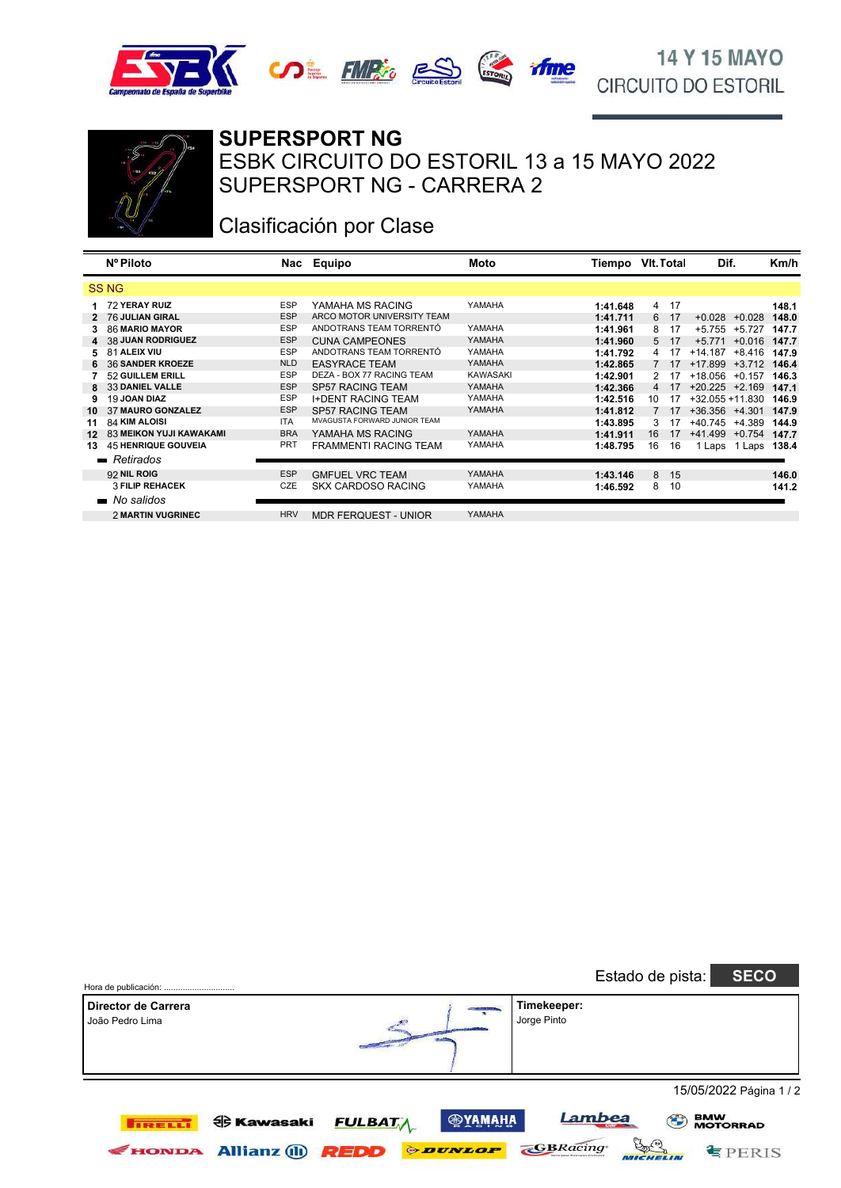





#### **SUPERSPORT NG**

SUPERSPORT NG - CARRERA 2 ESBK CIRCUITO DO ESTORIL 13 a 15 MAYO 2022

# Clasificación por Clase

|                | Nº Piloto                      |            | Nac Equipo                   | Moto     | Tiempo   | VIt. Total     |    | Dif.               |          | Km/h  |
|----------------|--------------------------------|------------|------------------------------|----------|----------|----------------|----|--------------------|----------|-------|
|                | <b>SSNG</b>                    |            |                              |          |          |                |    |                    |          |       |
| 1.             | 72 YERAY RUIZ                  | <b>ESP</b> | YAMAHA MS RACING             | YAMAHA   | 1:41.648 | $\overline{4}$ | 17 |                    |          | 148.1 |
|                | 2 76 JULIAN GIRAL              | <b>ESP</b> | ARCO MOTOR UNIVERSITY TEAM   |          | 1:41.711 | 6              | 17 | $+0.028$           | $+0.028$ | 148.0 |
| 3              | <b>86 MARIO MAYOR</b>          | <b>ESP</b> | ANDOTRANS TEAM TORRENTÓ      | YAMAHA   | 1:41.961 | 8              | 17 | $+5.755$           | $+5.727$ | 147.7 |
| $\overline{4}$ | <b>38 JUAN RODRIGUEZ</b>       | <b>ESP</b> | <b>CUNA CAMPEONES</b>        | YAMAHA   | 1:41.960 | 5              | 17 | $+5.771$           | $+0.016$ | 147.7 |
| 5.             | 81 ALEIX VIU                   | <b>ESP</b> | ANDOTRANS TEAM TORRENTÓ      | YAMAHA   | 1:41.792 | 4              | 17 | $+14.187$          | $+8.416$ | 147.9 |
|                | 36 SANDER KROEZE               | <b>NLD</b> | <b>EASYRACE TEAM</b>         | YAMAHA   | 1:42.865 |                | 17 | $+17.899$          | $+3.712$ | 146.4 |
|                | 52 GUILLEM ERILL               | <b>ESP</b> | DEZA - BOX 77 RACING TEAM    | KAWASAKI | 1:42.901 | 2              | 17 | +18.056            | $+0.157$ | 146.3 |
| 8              | 33 DANIEL VALLE                | <b>ESP</b> | <b>SP57 RACING TEAM</b>      | YAMAHA   | 1:42.366 | 4              | 17 | $+20.225$ $+2.169$ |          | 147.1 |
| 9              | 19 JOAN DIAZ                   | <b>ESP</b> | <b>I+DENT RACING TEAM</b>    | YAMAHA   | 1:42.516 | 10             | 17 | $+32.055 + 11.830$ |          | 146.9 |
| 10             | 37 MAURO GONZALEZ              | <b>ESP</b> | <b>SP57 RACING TEAM</b>      | YAMAHA   | 1:41.812 |                | 17 | $+36.356$ $+4.301$ |          | 147.9 |
| 11             | 84 KIM ALOISI                  | <b>ITA</b> | MVAGUSTA FORWARD JUNIOR TFAM |          | 1:43.895 | 3              | 17 | +40.745            | $+4.389$ | 144.9 |
| $12 \,$        | <b>83 MEIKON YUJI KAWAKAMI</b> | <b>BRA</b> | YAMAHA MS RACING             | YAMAHA   | 1:41.911 | 16             | 17 | $+41.499$          | $+0.754$ | 147.7 |
| 13             | <b>45 HENRIQUE GOUVEIA</b>     | <b>PRT</b> | <b>FRAMMENTI RACING TEAM</b> | YAMAHA   | 1:48.795 | 16             | 16 | Laps               | Laps     | 138.4 |
|                | $\blacksquare$ Retirados       |            |                              |          |          |                |    |                    |          |       |
|                | 92 NIL ROIG                    | <b>ESP</b> | <b>GMFUEL VRC TEAM</b>       | YAMAHA   | 1:43.146 | 8              | 15 |                    |          | 146.0 |
|                | <b>3 FILIP REHACEK</b>         | CZE        | <b>SKX CARDOSO RACING</b>    | YAMAHA   | 1:46.592 | 8              | 10 |                    |          | 141.2 |
|                |                                |            |                              |          |          |                |    |                    |          |       |
|                | • No salidos                   |            |                              |          |          |                |    |                    |          |       |
|                | 2 MARTIN VUGRINEC              | <b>HRV</b> | <b>MDR FERQUEST - UNIOR</b>  | YAMAHA   |          |                |    |                    |          |       |

| Hora de publicación:                   |                                      |                       |                            | Estado de pista: | <b>SECO</b>                                        |
|----------------------------------------|--------------------------------------|-----------------------|----------------------------|------------------|----------------------------------------------------|
| Director de Carrera<br>João Pedro Lima |                                      |                       | Timekeeper:<br>Jorge Pinto |                  |                                                    |
| <b>TRELL</b>                           | <b>ed Kawasaki</b><br><b>FULBATA</b> | <b>®УАМАНА</b>        | Lambea                     |                  | 15/05/2022 Página 1 / 2<br><b>BMW<br/>MOTORRAD</b> |
| <b>FIONDA</b>                          | <b>Allianz (ii)</b><br><b>REDD</b>   | <b><i>ODUNLOP</i></b> | <b>GBRacing</b>            | بع).             | FERIS                                              |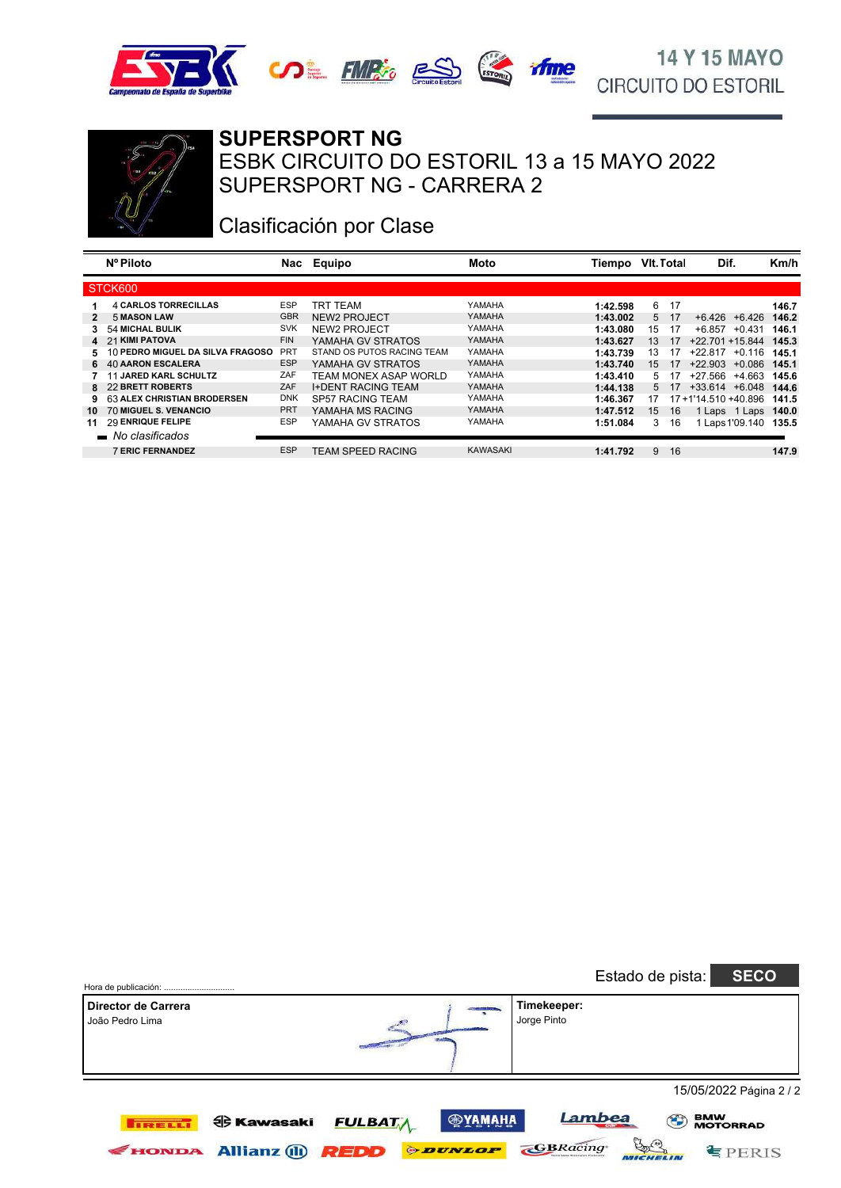





#### **SUPERSPORT NG**

SUPERSPORT NG - CARRERA 2 ESBK CIRCUITO DO ESTORIL 13 a 15 MAYO 2022

# Clasificación por Clase

|    | Nº Piloto                        | Nac        | Equipo                     | Moto            | Tiempo   | <b>VIt. Total</b> |      | Dif.                  | Km/h  |
|----|----------------------------------|------------|----------------------------|-----------------|----------|-------------------|------|-----------------------|-------|
|    | STCK600                          |            |                            |                 |          |                   |      |                       |       |
|    | <b>4 CARLOS TORRECILLAS</b>      | <b>ESP</b> | TRT TEAM                   | YAMAHA          | 1:42.598 | 6                 | -17  |                       | 146.7 |
|    | <b>5 MASON LAW</b>               | <b>GBR</b> | NEW2 PROJECT               | YAMAHA          | 1:43.002 |                   | 5 17 | $+6.426 + 6.426$      | 146.2 |
| 3. | <b>54 MICHAL BULIK</b>           | <b>SVK</b> | NEW2 PROJECT               | YAMAHA          | 1:43.080 | 15                | -17  | +0.431<br>+6.857      | 146.1 |
|    | 4 21 KIMI PATOVA                 | <b>FIN</b> | YAMAHA GV STRATOS          | YAMAHA          | 1:43.627 | 13                | 17   | +22.701 +15.844       | 145.3 |
| 5. | 10 PEDRO MIGUEL DA SILVA FRAGOSO | <b>PRT</b> | STAND OS PUTOS RACING TEAM | YAMAHA          | 1:43.739 | 13                | 17   | $+22.817$<br>$+0.116$ | 145.1 |
|    | 6 40 AARON ESCALERA              | <b>ESP</b> | YAMAHA GV STRATOS          | <b>YAMAHA</b>   | 1:43.740 | $15^{\circ}$      | 17   | $+22.903$<br>$+0.086$ | 145.1 |
|    | <b>11 JARED KARL SCHULTZ</b>     | ZAF        | TEAM MONEX ASAP WORLD      | YAMAHA          | 1:43.410 | 5                 | 17   | +4.663<br>+27.566     | 145.6 |
|    | 8 22 BRETT ROBERTS               | ZAF        | <b>I+DENT RACING TEAM</b>  | YAMAHA          | 1:44.138 | 5                 | - 17 | $+33.614$ $+6.048$    | 144.6 |
|    | 63 ALEX CHRISTIAN BRODERSEN      | <b>DNK</b> | <b>SP57 RACING TEAM</b>    | YAMAHA          | 1:46.367 | 17                |      | 17+1'14.510 +40.896   | 141.5 |
| 10 | 70 MIGUEL S. VENANCIO            | <b>PRT</b> | YAMAHA MS RACING           | YAMAHA          | 1:47.512 | 15                | 16   | 1 Laps 1 Laps         | 140.0 |
| 11 | 29 ENRIQUE FELIPE                | <b>ESP</b> | YAMAHA GV STRATOS          | YAMAHA          | 1:51.084 | 3                 | 16   | Laps 1'09.140         | 135.5 |
|    | $\blacksquare$ No clasificados   |            |                            |                 |          |                   |      |                       |       |
|    | <b>7 ERIC FERNANDEZ</b>          | <b>ESP</b> | TEAM SPEED RACING          | <b>KAWASAKI</b> | 1:41.792 | 9                 | 16   |                       | 147.9 |

| Hora de publicación:                   |                                          |                               |                                         |                            | Estado de pista: | <b>SECO</b>                       |
|----------------------------------------|------------------------------------------|-------------------------------|-----------------------------------------|----------------------------|------------------|-----------------------------------|
| Director de Carrera<br>João Pedro Lima |                                          |                               |                                         | Timekeeper:<br>Jorge Pinto |                  |                                   |
|                                        |                                          |                               |                                         |                            |                  | 15/05/2022 Página 2 / 2           |
| <b>TRELLI</b><br><b>FIONDA</b>         | <b>七 Kawasaki</b><br><b>Allianz</b> (ii) | <b>FULBATA</b><br><b>REDD</b> | <b>®YAMAHA</b><br><b><i>ODUNLOP</i></b> | <b>GBRacing</b>            | Lambea<br>(1)    | <b>BMW<br/>MOTORRAD</b><br>EPERIS |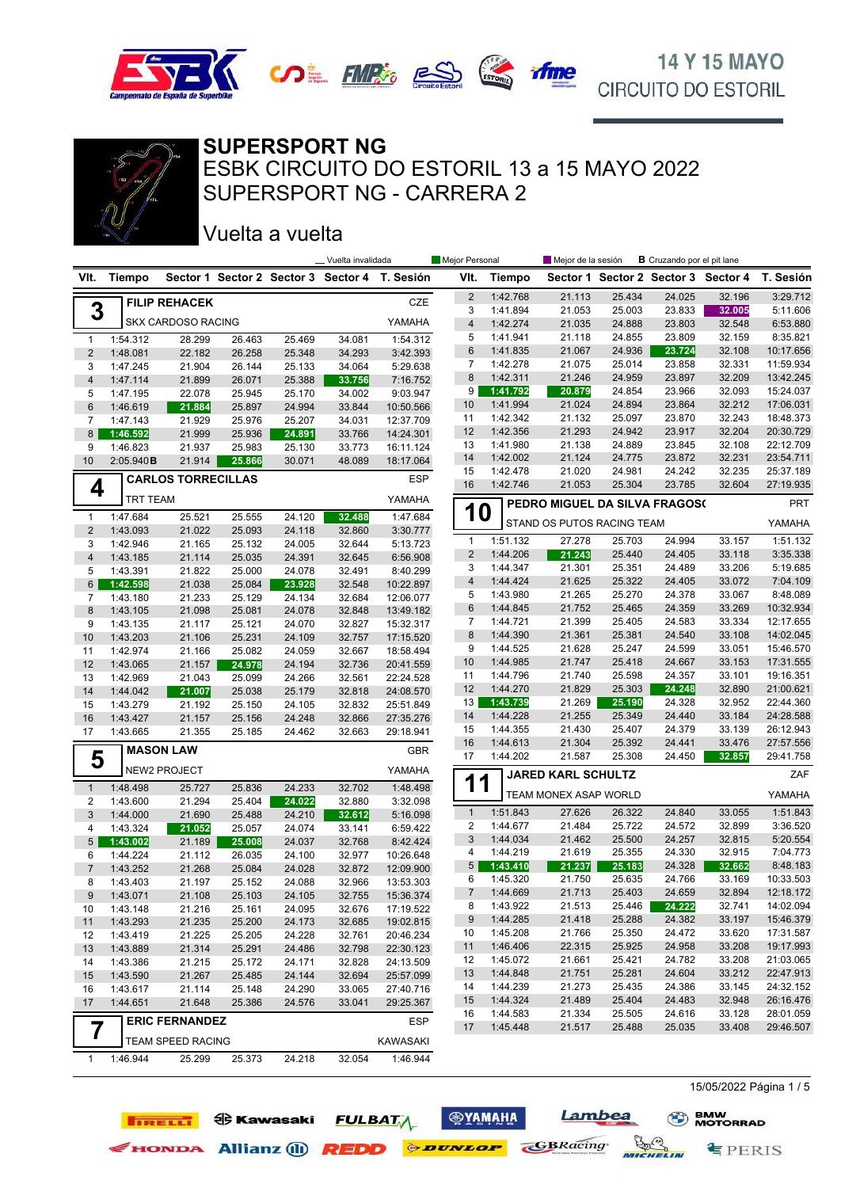



#### **SUPERSPORT NG**

SUPERSPORT NG - CARRERA 2 ESBK CIRCUITO DO ESTORIL 13 a 15 MAYO 2022

### Vuelta a vuelta

**IRELLI O** Kawasaki

|                         |                      |                           |                  |                  | Vuelta invalidada |                                               | Mejor Personal                 |                      | Mejor de la sesión            |                  | <b>B</b> Cruzando por el pit lane |                                     |                        |
|-------------------------|----------------------|---------------------------|------------------|------------------|-------------------|-----------------------------------------------|--------------------------------|----------------------|-------------------------------|------------------|-----------------------------------|-------------------------------------|------------------------|
| VIt.                    | <b>Tiempo</b>        |                           |                  |                  |                   | Sector 1 Sector 2 Sector 3 Sector 4 T. Sesión | VIt.                           | <b>Tiempo</b>        |                               |                  |                                   | Sector 1 Sector 2 Sector 3 Sector 4 | T. Sesión              |
|                         |                      | <b>FILIP REHACEK</b>      |                  |                  |                   | CZE                                           | $\overline{2}$                 | 1:42.768             | 21.113                        | 25.434           | 24.025                            | 32.196                              | 3:29.712               |
| 3                       |                      |                           |                  |                  |                   |                                               | 3                              | 1:41.894             | 21.053                        | 25.003           | 23.833                            | 32.005                              | 5:11.606               |
|                         |                      | <b>SKX CARDOSO RACING</b> |                  |                  |                   | YAMAHA                                        | $\overline{4}$                 | 1:42.274             | 21.035                        | 24.888           | 23.803                            | 32.548                              | 6:53.880               |
| $\mathbf{1}$            | 1:54.312             | 28.299                    | 26.463           | 25.469           | 34.081            | 1:54.312                                      | 5                              | 1:41.941             | 21.118                        | 24.855           | 23.809                            | 32.159                              | 8:35.821               |
| $\overline{2}$          | 1:48.081             | 22.182                    | 26.258           | 25.348           | 34.293            | 3:42.393                                      | 6                              | 1:41.835             | 21.067                        | 24.936           | 23.724                            | 32.108                              | 10:17.656              |
| 3                       | 1:47.245             | 21.904                    | 26.144           | 25.133           | 34.064            | 5:29.638                                      | $\overline{7}$                 | 1:42.278             | 21.075                        | 25.014           | 23.858                            | 32.331                              | 11:59.934              |
| 4                       | 1:47.114             | 21.899                    | 26.071           | 25.388           | 33.756            | 7:16.752                                      | 8<br>9                         | 1:42.311             | 21.246                        | 24.959<br>24.854 | 23.897<br>23.966                  | 32.209<br>32.093                    | 13:42.245<br>15:24.037 |
| 5                       | 1:47.195             | 22.078                    | 25.945           | 25.170           | 34.002            | 9:03.947                                      | 10                             | 1:41.792<br>1:41.994 | 20.879<br>21.024              | 24.894           | 23.864                            | 32.212                              | 17:06.031              |
| 6                       | 1:46.619             | 21.884                    | 25.897           | 24.994           | 33.844            | 10:50.566                                     | 11                             | 1:42.342             | 21.132                        | 25.097           | 23.870                            | 32.243                              | 18:48.373              |
| 7<br>8                  | 1:47.143<br>1:46.592 | 21.929<br>21.999          | 25.976<br>25.936 | 25.207<br>24.891 | 34.031<br>33.766  | 12:37.709<br>14:24.301                        | 12                             | 1:42.356             | 21.293                        | 24.942           | 23.917                            | 32.204                              | 20:30.729              |
| 9                       | 1:46.823             | 21.937                    | 25.983           | 25.130           | 33.773            | 16:11.124                                     | 13                             | 1:41.980             | 21.138                        | 24.889           | 23.845                            | 32.108                              | 22:12.709              |
| 10                      | 2:05.940B            | 21.914                    | 25.866           | 30.071           | 48.089            | 18:17.064                                     | 14                             | 1:42.002             | 21.124                        | 24.775           | 23.872                            | 32.231                              | 23:54.711              |
|                         |                      |                           |                  |                  |                   |                                               | 15                             | 1:42.478             | 21.020                        | 24.981           | 24.242                            | 32.235                              | 25:37.189              |
| 4                       |                      | <b>CARLOS TORRECILLAS</b> |                  |                  |                   | <b>ESP</b>                                    | 16                             | 1:42.746             | 21.053                        | 25.304           | 23.785                            | 32.604                              | 27:19.935              |
|                         | <b>TRT TEAM</b>      |                           |                  |                  |                   | YAMAHA                                        |                                |                      | PEDRO MIGUEL DA SILVA FRAGOS( |                  |                                   |                                     | <b>PRT</b>             |
| $\mathbf{1}$            | 1:47.684             | 25.521                    | 25.555           | 24.120           | 32.488            | 1:47.684                                      | <b>10</b>                      |                      | STAND OS PUTOS RACING TEAM    |                  |                                   |                                     | YAMAHA                 |
| $\overline{2}$          | 1:43.093             | 21.022                    | 25.093           | 24.118           | 32.860            | 3:30.777                                      |                                |                      | 27.278                        | 25.703           | 24.994                            |                                     | 1:51.132               |
| 3                       | 1:42.946             | 21.165                    | 25.132           | 24.005           | 32.644            | 5:13.723                                      | $\mathbf{1}$<br>$\overline{2}$ | 1:51.132<br>1:44.206 | 21.243                        | 25.440           | 24.405                            | 33.157<br>33.118                    | 3:35.338               |
| 4                       | 1:43.185             | 21.114                    | 25.035           | 24.391           | 32.645            | 6:56.908                                      | 3                              | 1:44.347             | 21.301                        | 25.351           | 24.489                            | 33.206                              | 5:19.685               |
| 5                       | 1:43.391             | 21.822                    | 25.000           | 24.078           | 32.491            | 8:40.299                                      | 4                              | 1:44.424             | 21.625                        | 25.322           | 24.405                            | 33.072                              | 7:04.109               |
| 6                       | 1:42.598             | 21.038                    | 25.084           | 23.928           | 32.548            | 10:22.897                                     | 5                              | 1:43.980             | 21.265                        | 25.270           | 24.378                            | 33.067                              | 8:48.089               |
| 7<br>8                  | 1:43.180             | 21.233                    | 25.129           | 24.134           | 32.684<br>32.848  | 12:06.077                                     | 6                              | 1:44.845             | 21.752                        | 25.465           | 24.359                            | 33.269                              | 10:32.934              |
| 9                       | 1:43.105<br>1:43.135 | 21.098<br>21.117          | 25.081<br>25.121 | 24.078<br>24.070 | 32.827            | 13:49.182<br>15:32.317                        | 7                              | 1:44.721             | 21.399                        | 25.405           | 24.583                            | 33.334                              | 12:17.655              |
| 10                      | 1:43.203             | 21.106                    | 25.231           | 24.109           | 32.757            | 17:15.520                                     | 8                              | 1:44.390             | 21.361                        | 25.381           | 24.540                            | 33.108                              | 14:02.045              |
| 11                      | 1:42.974             | 21.166                    | 25.082           | 24.059           | 32.667            | 18:58.494                                     | 9                              | 1:44.525             | 21.628                        | 25.247           | 24.599                            | 33.051                              | 15:46.570              |
| 12                      | 1:43.065             | 21.157                    | 24.978           | 24.194           | 32.736            | 20:41.559                                     | 10                             | 1:44.985             | 21.747                        | 25.418           | 24.667                            | 33.153                              | 17:31.555              |
| 13                      | 1:42.969             | 21.043                    | 25.099           | 24.266           | 32.561            | 22:24.528                                     | 11                             | 1:44.796             | 21.740                        | 25.598           | 24.357                            | 33.101                              | 19:16.351              |
| 14                      | 1:44.042             | 21.007                    | 25.038           | 25.179           | 32.818            | 24:08.570                                     | 12                             | 1:44.270             | 21.829                        | 25.303           | 24.248                            | 32.890                              | 21:00.621              |
| 15                      | 1:43.279             | 21.192                    | 25.150           | 24.105           | 32.832            | 25:51.849                                     | 13                             | 1:43.739             | 21.269                        | 25.190           | 24.328                            | 32.952                              | 22:44.360              |
| 16                      | 1:43.427             | 21.157                    | 25.156           | 24.248           | 32.866            | 27:35.276                                     | 14                             | 1:44.228             | 21.255                        | 25.349           | 24.440                            | 33.184                              | 24:28.588              |
| 17                      | 1:43.665             | 21.355                    | 25.185           | 24.462           | 32.663            | 29:18.941                                     | 15                             | 1:44.355             | 21.430                        | 25.407           | 24.379                            | 33.139                              | 26:12.943              |
|                         |                      | <b>MASON LAW</b>          |                  |                  |                   | <b>GBR</b>                                    | 16                             | 1:44.613             | 21.304                        | 25.392           | 24.441                            | 33.476                              | 27:57.556              |
| 5                       |                      | NEW2 PROJECT              |                  |                  |                   | YAMAHA                                        | 17                             | 1:44.202             | 21.587                        | 25.308           | 24.450                            | 32.857                              | 29:41.758              |
| $\mathbf{1}$            | 1:48.498             | 25.727                    | 25.836           | 24.233           | 32.702            | 1:48.498                                      | 11                             |                      | <b>JARED KARL SCHULTZ</b>     |                  |                                   |                                     | ZAF                    |
| $\overline{\mathbf{c}}$ | 1:43.600             | 21.294                    | 25.404           | 24.022           | 32.880            | 3:32.098                                      |                                |                      | TEAM MONEX ASAP WORLD         |                  |                                   |                                     | YAMAHA                 |
| 3                       | 1:44.000             | 21.690                    | 25.488           | 24.210           | 32.612            | 5:16.098                                      | $\mathbf{1}$                   | 1:51.843             | 27.626                        | 26.322           | 24.840                            | 33.055                              | 1:51.843               |
| 4                       | 1:43.324             | 21.052                    | 25.057           | 24.074           | 33.141            | 6:59.422                                      | 2                              | 1:44.677             | 21.484                        | 25.722           | 24.572                            | 32.899                              | 3:36.520               |
| 5                       | 1:43.002             | 21.189                    | 25.008           | 24.037           | 32.768            | 8:42.424                                      | 3                              | 1:44.034             | 21.462                        | 25.500           | 24.257                            | 32.815                              | 5:20.554               |
| 6                       | 1:44.224             | 21.112                    | 26.035           | 24.100           | 32.977            | 10:26.648                                     | 4                              | 1:44.219             | 21.619                        | 25.355           | 24.330                            | 32.915                              | 7:04.773               |
| 7                       | 1:43.252             | 21.268                    | 25.084           | 24.028           | 32.872            | 12:09.900                                     | 5 <sup>5</sup>                 | 1:43.410             | 21.237                        | 25.183           | 24.328                            | 32.662                              | 8:48.183               |
| 8                       | 1:43.403             | 21.197                    | 25.152           | 24.088           | 32.966            | 13:53.303                                     | 6                              | 1:45.320             | 21.750                        | 25.635           | 24.766                            | 33.169                              | 10:33.503              |
| 9                       | 1:43.071             | 21.108                    | 25.103           | 24.105           | 32.755            | 15:36.374                                     | 7                              | 1:44.669             | 21.713                        | 25.403           | 24.659                            | 32.894                              | 12:18.172              |
| 10                      | 1:43.148             | 21.216                    | 25.161           | 24.095           | 32.676            | 17:19.522                                     | 8                              | 1:43.922             | 21.513                        | 25.446           | 24.222                            | 32.741                              | 14:02.094              |
| 11                      | 1:43.293             | 21.235                    | 25.200           | 24.173           | 32.685            | 19:02.815                                     | 9                              | 1:44.285             | 21.418                        | 25.288           | 24.382                            | 33.197                              | 15:46.379              |
| 12                      | 1:43.419             | 21.225                    | 25.205           | 24.228           | 32.761            | 20:46.234                                     | 10                             | 1:45.208             | 21.766                        | 25.350           | 24.472                            | 33.620                              | 17:31.587              |
| 13                      | 1:43.889             | 21.314                    | 25.291           | 24.486           | 32.798            | 22:30.123                                     | 11                             | 1:46.406             | 22.315                        | 25.925           | 24.958                            | 33.208                              | 19:17.993              |
| 14                      | 1:43.386             | 21.215                    | 25.172           | 24.171           | 32.828            | 24:13.509                                     | 12                             | 1:45.072             | 21.661                        | 25.421<br>25.281 | 24.782                            | 33.208                              | 21:03.065<br>22:47.913 |
| 15                      | 1:43.590             | 21.267                    | 25.485           | 24.144           | 32.694            | 25:57.099                                     | 13                             | 1:44.848<br>1:44.239 | 21.751<br>21.273              | 25.435           | 24.604<br>24.386                  | 33.212<br>33.145                    |                        |
| 16                      | 1:43.617             | 21.114                    | 25.148           | 24.290           | 33.065            | 27:40.716                                     | 14<br>15                       | 1:44.324             | 21.489                        | 25.404           | 24.483                            | 32.948                              | 24:32.152<br>26:16.476 |
| 17                      | 1:44.651             | 21.648                    | 25.386           | 24.576           | 33.041            | 29:25.367                                     | 16                             | 1:44.583             | 21.334                        | 25.505           | 24.616                            | 33.128                              | 28:01.059              |
| 7                       |                      | <b>ERIC FERNANDEZ</b>     |                  |                  |                   | <b>ESP</b>                                    | 17                             | 1:45.448             | 21.517                        | 25.488           | 25.035                            | 33.408                              | 29:46.507              |
|                         |                      | TEAM SPEED RACING         |                  |                  |                   | KAWASAKI                                      |                                |                      |                               |                  |                                   |                                     |                        |
| $\mathbf{1}$            | 1:46.944             | 25.299                    | 25.373           | 24.218           | 32.054            | 1:46.944                                      |                                |                      |                               |                  |                                   |                                     |                        |
|                         |                      |                           |                  |                  |                   |                                               |                                |                      |                               |                  |                                   |                                     |                        |

**ФУАМАНА** 

**FULBATA** 

EHONDA Allianz (1) **REDD** *PEDD* 

Lambea

WICHELIN

**GBRacing** 

15/05/2022 Página 1 / 5

**§PERIS**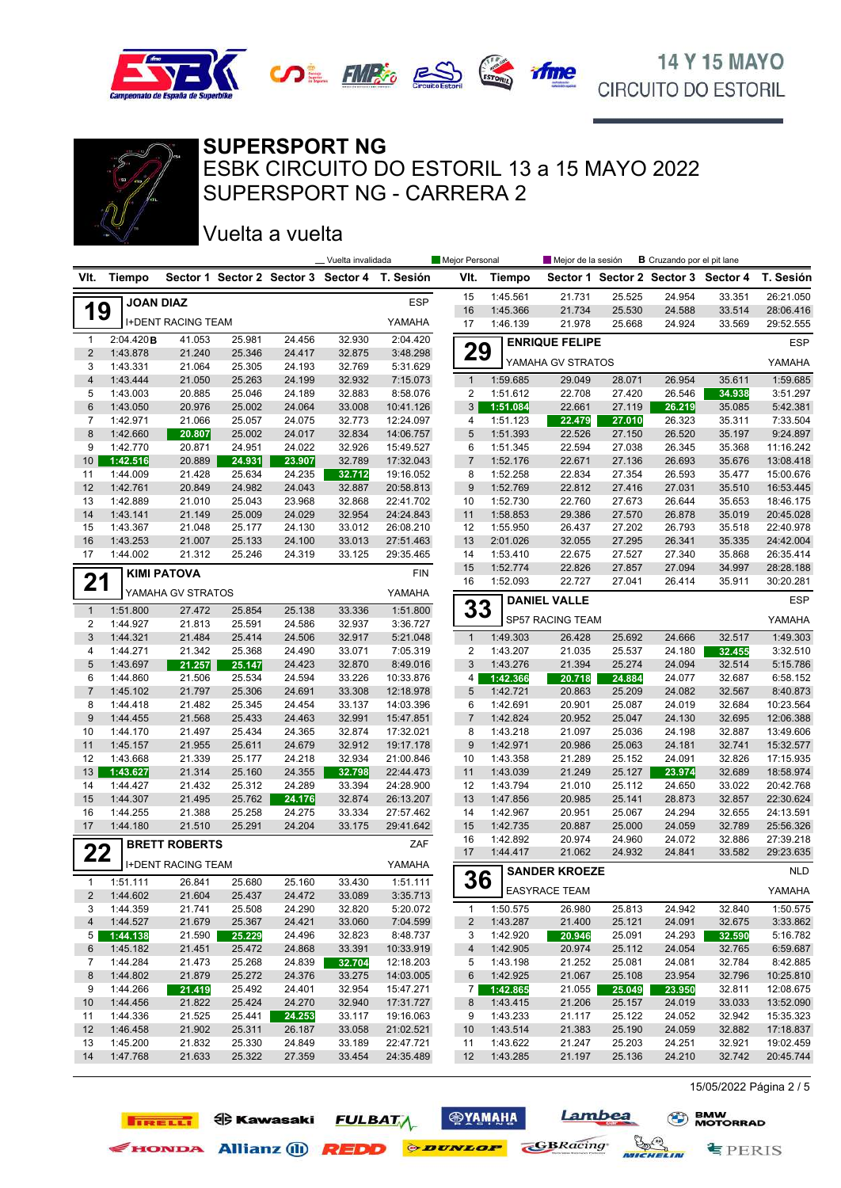



#### **SUPERSPORT NG**

SUPERSPORT NG - CARRERA 2 ESBK CIRCUITO DO ESTORIL 13 a 15 MAYO 2022

Vuelta a vuelta

**TIRELLI ED** Kawasaki

|                 |                      |                           |                  |                  | _ Vuelta invalidada |                                               | Mejor Personal |                      | Mejor de la sesión    |                  | <b>B</b> Cruzando por el pit lane   |                  |                      |
|-----------------|----------------------|---------------------------|------------------|------------------|---------------------|-----------------------------------------------|----------------|----------------------|-----------------------|------------------|-------------------------------------|------------------|----------------------|
| VIt.            | Tiempo               |                           |                  |                  |                     | Sector 1 Sector 2 Sector 3 Sector 4 T. Sesión | VIt.           | <b>Tiempo</b>        |                       |                  | Sector 1 Sector 2 Sector 3 Sector 4 |                  | T. Sesión            |
|                 | <b>JOAN DIAZ</b>     |                           |                  |                  |                     | <b>ESP</b>                                    | 15             | 1:45.561             | 21.731                | 25.525           | 24.954                              | 33.351           | 26:21.050            |
| 19              |                      |                           |                  |                  |                     |                                               | 16             | 1:45.366             | 21.734                | 25.530           | 24.588                              | 33.514           | 28:06.416            |
|                 |                      | <b>I+DENT RACING TEAM</b> |                  |                  |                     | YAMAHA                                        | 17             | 1:46.139             | 21.978                | 25.668           | 24.924                              | 33.569           | 29:52.555            |
| $\mathbf{1}$    | 2:04.420B            | 41.053                    | 25.981           | 24.456           | 32.930              | 2:04.420                                      |                |                      | <b>ENRIQUE FELIPE</b> |                  |                                     |                  | <b>ESP</b>           |
| $\overline{2}$  | 1:43.878             | 21.240                    | 25.346           | 24.417           | 32.875              | 3:48.298                                      | 29             |                      | YAMAHA GV STRATOS     |                  |                                     |                  | YAMAHA               |
| 3               | 1:43.331             | 21.064                    | 25.305           | 24.193           | 32.769              | 5:31.629                                      |                |                      |                       |                  |                                     |                  |                      |
| $\overline{4}$  | 1:43.444             | 21.050                    | 25.263           | 24.199           | 32.932              | 7:15.073                                      | $\mathbf{1}$   | 1:59.685             | 29.049                | 28.071           | 26.954                              | 35.611           | 1:59.685             |
| 5               | 1:43.003             | 20.885                    | 25.046           | 24.189           | 32.883              | 8:58.076                                      | 2              | 1:51.612             | 22.708                | 27.420           | 26.546                              | 34.938           | 3:51.297             |
| 6<br>7          | 1:43.050             | 20.976                    | 25.002           | 24.064           | 33.008              | 10:41.126                                     | 3<br>4         | 1:51.084<br>1:51.123 | 22.661                | 27.119           | 26.219<br>26.323                    | 35.085           | 5:42.381<br>7:33.504 |
| 8               | 1:42.971<br>1:42.660 | 21.066<br>20.807          | 25.057<br>25.002 | 24.075<br>24.017 | 32.773<br>32.834    | 12:24.097<br>14:06.757                        | 5              | 1:51.393             | 22.479<br>22.526      | 27.010<br>27.150 | 26.520                              | 35.311<br>35.197 | 9:24.897             |
| 9               | 1:42.770             | 20.871                    | 24.951           | 24.022           | 32.926              | 15:49.527                                     | 6              | 1:51.345             | 22.594                | 27.038           | 26.345                              | 35.368           | 11:16.242            |
| 10 <sup>1</sup> | 1:42.516             | 20.889                    | 24.931           | 23.907           | 32.789              | 17:32.043                                     | $\overline{7}$ | 1:52.176             | 22.671                | 27.136           | 26.693                              | 35.676           | 13:08.418            |
| 11              | 1:44.009             | 21.428                    | 25.634           | 24.235           | 32.712              | 19:16.052                                     | 8              | 1:52.258             | 22.834                | 27.354           | 26.593                              | 35.477           | 15:00.676            |
| 12              | 1:42.761             | 20.849                    | 24.982           | 24.043           | 32.887              | 20:58.813                                     | 9              | 1:52.769             | 22.812                | 27.416           | 27.031                              | 35.510           | 16:53.445            |
| 13              | 1:42.889             | 21.010                    | 25.043           | 23.968           | 32.868              | 22:41.702                                     | 10             | 1:52.730             | 22.760                | 27.673           | 26.644                              | 35.653           | 18:46.175            |
| 14              | 1:43.141             | 21.149                    | 25.009           | 24.029           | 32.954              | 24:24.843                                     | 11             | 1:58.853             | 29.386                | 27.570           | 26.878                              | 35.019           | 20:45.028            |
| 15              | 1:43.367             | 21.048                    | 25.177           | 24.130           | 33.012              | 26:08.210                                     | 12             | 1:55.950             | 26.437                | 27.202           | 26.793                              | 35.518           | 22:40.978            |
| 16              | 1:43.253             | 21.007                    | 25.133           | 24.100           | 33.013              | 27:51.463                                     | 13             | 2:01.026             | 32.055                | 27.295           | 26.341                              | 35.335           | 24:42.004            |
| 17              | 1:44.002             | 21.312                    | 25.246           | 24.319           | 33.125              | 29:35.465                                     | 14             | 1:53.410             | 22.675                | 27.527           | 27.340                              | 35.868           | 26:35.414            |
|                 |                      | <b>KIMI PATOVA</b>        |                  |                  |                     | <b>FIN</b>                                    | 15             | 1:52.774             | 22.826                | 27.857           | 27.094                              | 34.997           | 28:28.188            |
| 21              |                      |                           |                  |                  |                     |                                               | 16             | 1:52.093             | 22.727                | 27.041           | 26.414                              | 35.911           | 30:20.281            |
| $\mathbf{1}$    |                      | YAMAHA GV STRATOS         |                  |                  | 33.336              | YAMAHA<br>1:51.800                            | 33             |                      | <b>DANIEL VALLE</b>   |                  |                                     |                  | <b>ESP</b>           |
| 2               | 1:51.800<br>1:44.927 | 27.472<br>21.813          | 25.854<br>25.591 | 25.138<br>24.586 | 32.937              | 3:36.727                                      |                |                      | SP57 RACING TEAM      |                  |                                     |                  | YAMAHA               |
| 3               | 1:44.321             | 21.484                    | 25.414           | 24.506           | 32.917              | 5:21.048                                      | $\mathbf{1}$   | 1:49.303             | 26.428                | 25.692           | 24.666                              | 32.517           | 1:49.303             |
| 4               | 1:44.271             | 21.342                    | 25.368           | 24.490           | 33.071              | 7:05.319                                      | $\overline{2}$ | 1:43.207             | 21.035                | 25.537           | 24.180                              | 32.455           | 3:32.510             |
| 5               | 1:43.697             | 21.257                    | 25.147           | 24.423           | 32.870              | 8:49.016                                      | $\sqrt{3}$     | 1:43.276             | 21.394                | 25.274           | 24.094                              | 32.514           | 5:15.786             |
| 6               | 1:44.860             | 21.506                    | 25.534           | 24.594           | 33.226              | 10:33.876                                     | 4              | 1:42.366             | 20.718                | 24.884           | 24.077                              | 32.687           | 6:58.152             |
| 7               | 1:45.102             | 21.797                    | 25.306           | 24.691           | 33.308              | 12:18.978                                     | 5              | 1:42.721             | 20.863                | 25.209           | 24.082                              | 32.567           | 8:40.873             |
| 8               | 1:44.418             | 21.482                    | 25.345           | 24.454           | 33.137              | 14:03.396                                     | 6              | 1:42.691             | 20.901                | 25.087           | 24.019                              | 32.684           | 10:23.564            |
| 9               | 1:44.455             | 21.568                    | 25.433           | 24.463           | 32.991              | 15:47.851                                     | $\overline{7}$ | 1:42.824             | 20.952                | 25.047           | 24.130                              | 32.695           | 12:06.388            |
| 10              | 1:44.170             | 21.497                    | 25.434           | 24.365           | 32.874              | 17:32.021                                     | 8              | 1:43.218             | 21.097                | 25.036           | 24.198                              | 32.887           | 13:49.606            |
| 11              | 1:45.157             | 21.955                    | 25.611           | 24.679           | 32.912              | 19:17.178                                     | 9              | 1:42.971             | 20.986                | 25.063           | 24.181                              | 32.741           | 15:32.577            |
| 12              | 1:43.668             | 21.339                    | 25.177           | 24.218           | 32.934              | 21:00.846                                     | 10             | 1:43.358             | 21.289                | 25.152           | 24.091                              | 32.826           | 17:15.935            |
| 13              | 1:43.627             | 21.314                    | 25.160           | 24.355           | 32.798              | 22:44.473                                     | 11             | 1:43.039             | 21.249                | 25.127           | 23.974                              | 32.689           | 18:58.974            |
| 14              | 1:44.427             | 21.432                    | 25.312           | 24.289           | 33.394              | 24:28.900                                     | 12             | 1:43.794             | 21.010                | 25.112           | 24.650                              | 33.022           | 20:42.768            |
| 15              | 1:44.307             | 21.495                    | 25.762           | 24.176           | 32.874              | 26:13.207                                     | 13             | 1:47.856             | 20.985                | 25.141           | 28.873                              | 32.857           | 22:30.624            |
| 16              | 1:44.255             | 21.388                    | 25.258           | 24.275           | 33.334              | 27:57.462                                     | 14             | 1:42.967             | 20.951                | 25.067           | 24.294                              | 32.655           | 24:13.591            |
| 17              | 1:44.180             | 21.510                    | 25.291           | 24.204           | 33.175              | 29:41.642                                     | 15             | 1:42.735             | 20.887                | 25.000           | 24.059                              | 32.789           | 25:56.326            |
|                 |                      | <b>BRETT ROBERTS</b>      |                  |                  |                     | ZAF                                           | 16             | 1:42.892             | 20.974                | 24.960           | 24.072                              | 32.886           | 27:39.218            |
| 22              |                      | <b>I+DENT RACING TEAM</b> |                  |                  |                     | YAMAHA                                        | 17             | 1:44.417             | 21.062                | 24.932           | 24.841                              | 33.582           | 29:23.635            |
| $\mathbf{1}$    | 1:51.111             | 26.841                    | 25.680           | 25.160           | 33.430              | 1:51.111                                      | 36             |                      | <b>SANDER KROEZE</b>  |                  |                                     |                  | <b>NLD</b>           |
| 2               | 1:44.602             | 21.604                    | 25.437           | 24.472           | 33.089              | 3:35.713                                      |                |                      | EASYRACE TEAM         |                  |                                     |                  | YAMAHA               |
| 3               | 1:44.359             | 21.741                    | 25.508           | 24.290           | 32.820              | 5:20.072                                      | 1              | 1:50.575             | 26.980                | 25.813           | 24.942                              | 32.840           | 1:50.575             |
| 4               | 1:44.527             | 21.679                    | 25.367           | 24.421           | 33.060              | 7:04.599                                      | $\overline{2}$ | 1:43.287             | 21.400                | 25.121           | 24.091                              | 32.675           | 3:33.862             |
| 5               | 1:44.138             | 21.590                    | 25.229           | 24.496           | 32.823              | 8:48.737                                      | 3              | 1:42.920             | 20.946                | 25.091           | 24.293                              | 32.590           | 5:16.782             |
| 6               | 1:45.182             | 21.451                    | 25.472           | 24.868           | 33.391              | 10:33.919                                     | $\overline{4}$ | 1:42.905             | 20.974                | 25.112           | 24.054                              | 32.765           | 6:59.687             |
| 7               | 1:44.284             | 21.473                    | 25.268           | 24.839           | 32.704              | 12:18.203                                     | 5              | 1:43.198             | 21.252                | 25.081           | 24.081                              | 32.784           | 8:42.885             |
| 8               | 1:44.802             | 21.879                    | 25.272           | 24.376           | 33.275              | 14:03.005                                     | 6              | 1:42.925             | 21.067                | 25.108           | 23.954                              | 32.796           | 10:25.810            |
| 9               | 1:44.266             | 21.419                    | 25.492           | 24.401           | 32.954              | 15:47.271                                     | $\mathbf{7}$   | 1:42.865             | 21.055                | 25.049           | 23.950                              | 32.811           | 12:08.675            |
| 10              | 1:44.456             | 21.822                    | 25.424           | 24.270           | 32.940              | 17:31.727                                     | 8              | 1:43.415             | 21.206                | 25.157           | 24.019                              | 33.033           | 13:52.090            |
| 11              | 1:44.336             | 21.525                    | 25.441           | 24.253           | 33.117              | 19:16.063                                     | 9              | 1:43.233             | 21.117                | 25.122           | 24.052                              | 32.942           | 15:35.323            |
| 12              | 1:46.458             | 21.902                    | 25.311           | 26.187           | 33.058              | 21:02.521                                     | 10             | 1:43.514             | 21.383                | 25.190           | 24.059                              | 32.882           | 17:18.837            |
| 13              | 1:45.200             | 21.832                    | 25.330           | 24.849           | 33.189              | 22:47.721                                     | 11             | 1:43.622             | 21.247                | 25.203           | 24.251                              | 32.921           | 19:02.459            |
| 14              | 1:47.768             | 21.633                    | 25.322           | 27.359           | 33.454              | 24:35.489                                     | 12             | 1:43.285             | 21.197                | 25.136           | 24.210                              | 32.742           | 20:45.744            |
|                 |                      |                           |                  |                  |                     |                                               |                |                      |                       |                  |                                     |                  |                      |

**<b>SYAMAHA** 

**FULBATA** 

Exercise Allianz (1) REDD SERVICE CBRacing

Lambea

MICHELIN

15/05/2022 Página 2 / 5

**专PERIS**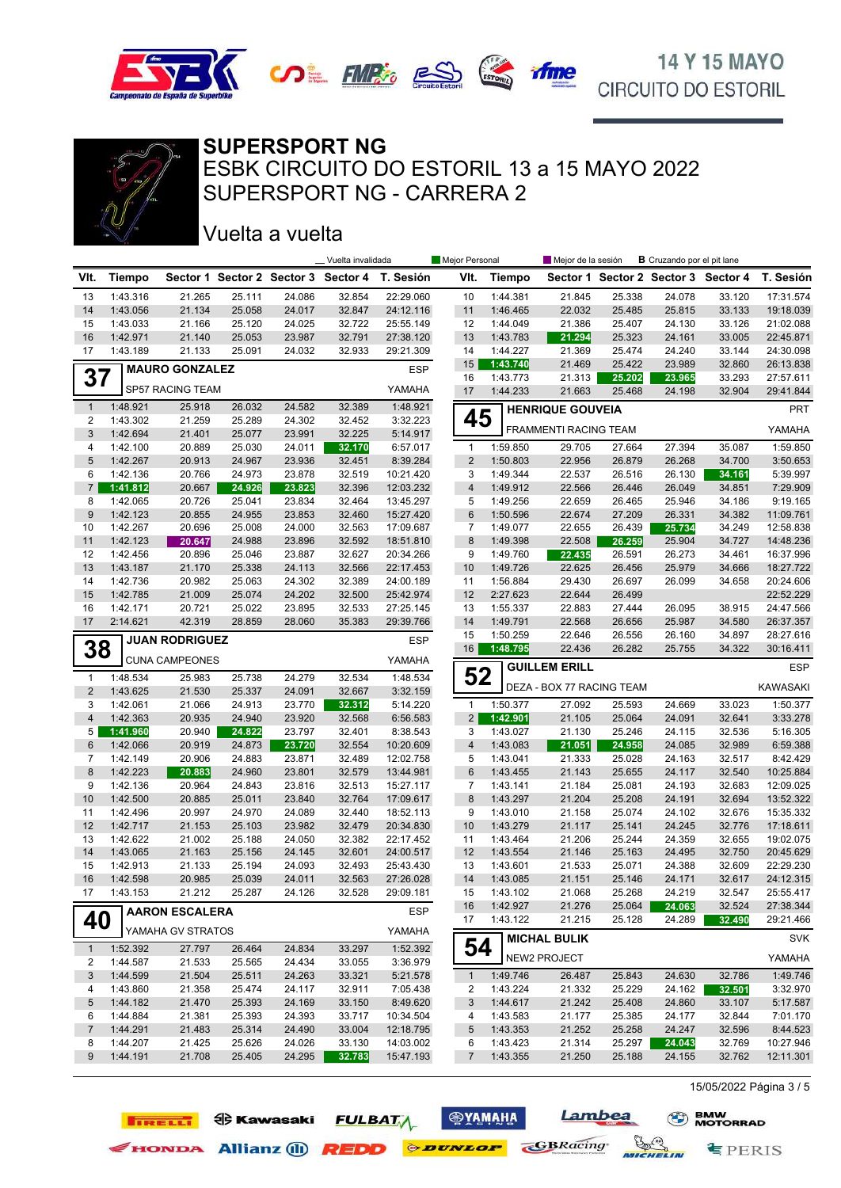



#### **SUPERSPORT NG**

SUPERSPORT NG - CARRERA 2 ESBK CIRCUITO DO ESTORIL 13 a 15 MAYO 2022

#### Vuelta a vuelta

**TIRELLI ED** Kawasaki

|                         |                      |                       |                  |                  | _ Vuelta invalidada                 |                        | Mejor Personal          |                      | Mejor de la sesión        |                  | <b>B</b> Cruzando por el pit lane |                  |                        |
|-------------------------|----------------------|-----------------------|------------------|------------------|-------------------------------------|------------------------|-------------------------|----------------------|---------------------------|------------------|-----------------------------------|------------------|------------------------|
| VIt.                    | <b>Tiempo</b>        |                       |                  |                  | Sector 1 Sector 2 Sector 3 Sector 4 | T. Sesión              | VIt.                    | <b>Tiempo</b>        |                           |                  | Sector 1 Sector 2 Sector 3        | Sector 4         | T. Sesión              |
| 13                      | 1:43.316             | 21.265                | 25.111           | 24.086           | 32.854                              | 22:29.060              | 10                      | 1:44.381             | 21.845                    | 25.338           | 24.078                            | 33.120           | 17:31.574              |
| 14                      | 1:43.056             | 21.134                | 25.058           | 24.017           | 32.847                              | 24:12.116              | 11                      | 1:46.465             | 22.032                    | 25.485           | 25.815                            | 33.133           | 19:18.039              |
| 15                      | 1:43.033             | 21.166                | 25.120           | 24.025           | 32.722                              | 25:55.149              | 12                      | 1:44.049             | 21.386                    | 25.407           | 24.130                            | 33.126           | 21:02.088              |
| 16                      | 1:42.971             | 21.140                | 25.053           | 23.987           | 32.791                              | 27:38.120              | 13                      | 1:43.783             | 21.294                    | 25.323           | 24.161                            | 33.005           | 22:45.871              |
| 17                      | 1:43.189             | 21.133                | 25.091           | 24.032           | 32.933                              | 29:21.309              | 14                      | 1:44.227             | 21.369                    | 25.474           | 24.240                            | 33.144           | 24:30.098              |
|                         |                      | <b>MAURO GONZALEZ</b> |                  |                  |                                     | <b>ESP</b>             | 15                      | 1:43.740<br>1:43.773 | 21.469                    | 25.422<br>25.202 | 23.989<br>23.965                  | 32.860           | 26:13.838              |
| 37                      |                      | SP57 RACING TEAM      |                  |                  |                                     | YAMAHA                 | 16<br>17                | 1:44.233             | 21.313<br>21.663          | 25.468           | 24.198                            | 33.293<br>32.904 | 27:57.611<br>29:41.844 |
| $\mathbf{1}$            | 1:48.921             | 25.918                | 26.032           | 24.582           | 32.389                              | 1:48.921               |                         |                      |                           |                  |                                   |                  |                        |
| $\overline{\mathbf{c}}$ | 1:43.302             | 21.259                | 25.289           | 24.302           | 32.452                              | 3:32.223               | 45                      |                      | <b>HENRIQUE GOUVEIA</b>   |                  |                                   |                  | <b>PRT</b>             |
| 3                       | 1:42.694             | 21.401                | 25.077           | 23.991           | 32.225                              | 5:14.917               |                         |                      | FRAMMENTI RACING TEAM     |                  |                                   |                  | YAMAHA                 |
| 4                       | 1:42.100             | 20.889                | 25.030           | 24.011           | 32.170                              | 6:57.017               | $\mathbf{1}$            | 1:59.850             | 29.705                    | 27.664           | 27.394                            | 35.087           | 1:59.850               |
| 5                       | 1:42.267             | 20.913                | 24.967           | 23.936           | 32.451                              | 8:39.284               | $\overline{2}$          | 1:50.803             | 22.956                    | 26.879           | 26.268                            | 34.700           | 3:50.653               |
| 6                       | 1:42.136             | 20.766                | 24.973           | 23.878           | 32.519                              | 10:21.420              | 3                       | 1:49.344             | 22.537                    | 26.516           | 26.130                            | 34.161           | 5:39.997               |
| $\overline{7}$          | 1:41.812             | 20.667                | 24.926           | 23.823           | 32.396                              | 12:03.232              | $\overline{\mathbf{4}}$ | 1:49.912             | 22.566                    | 26.446           | 26.049                            | 34.851           | 7:29.909               |
| 8                       | 1:42.065             | 20.726                | 25.041           | 23.834           | 32.464                              | 13:45.297              | 5                       | 1:49.256             | 22.659                    | 26.465           | 25.946                            | 34.186           | 9:19.165               |
| 9                       | 1:42.123             | 20.855                | 24.955           | 23.853           | 32.460                              | 15:27.420              | 6                       | 1:50.596             | 22.674                    | 27.209           | 26.331                            | 34.382           | 11:09.761              |
| 10                      | 1:42.267             | 20.696                | 25.008           | 24.000           | 32.563                              | 17:09.687              | 7                       | 1:49.077             | 22.655                    | 26.439           | 25.734                            | 34.249           | 12:58.838              |
| 11                      | 1:42.123             | 20.647                | 24.988           | 23.896           | 32.592                              | 18:51.810              | 8                       | 1:49.398             | 22.508                    | 26.259           | 25.904                            | 34.727           | 14:48.236              |
| 12<br>13                | 1:42.456<br>1:43.187 | 20.896<br>21.170      | 25.046<br>25.338 | 23.887<br>24.113 | 32.627<br>32.566                    | 20:34.266<br>22:17.453 | 9<br>10                 | 1:49.760<br>1:49.726 | 22.435<br>22.625          | 26.591<br>26.456 | 26.273<br>25.979                  | 34.461<br>34.666 | 16:37.996<br>18:27.722 |
| 14                      | 1:42.736             | 20.982                | 25.063           | 24.302           | 32.389                              | 24:00.189              | 11                      | 1:56.884             | 29.430                    | 26.697           | 26.099                            |                  | 20:24.606              |
| 15                      | 1:42.785             | 21.009                | 25.074           | 24.202           | 32.500                              | 25:42.974              | 12                      | 2:27.623             | 22.644                    | 26.499           |                                   | 34.658           | 22:52.229              |
| 16                      | 1:42.171             | 20.721                | 25.022           | 23.895           | 32.533                              | 27:25.145              | 13                      | 1:55.337             | 22.883                    | 27.444           | 26.095                            | 38.915           | 24:47.566              |
| 17                      | 2:14.621             | 42.319                | 28.859           | 28.060           | 35.383                              | 29:39.766              | 14                      | 1:49.791             | 22.568                    | 26.656           | 25.987                            | 34.580           | 26:37.357              |
|                         |                      |                       |                  |                  |                                     |                        | 15                      | 1:50.259             | 22.646                    | 26.556           | 26.160                            | 34.897           | 28:27.616              |
| 38                      |                      | <b>JUAN RODRIGUEZ</b> |                  |                  |                                     | <b>ESP</b>             | 16                      | 1:48.795             | 22.436                    | 26.282           | 25.755                            | 34.322           | 30:16.411              |
|                         |                      | <b>CUNA CAMPEONES</b> |                  |                  |                                     | YAMAHA                 |                         |                      | <b>GUILLEM ERILL</b>      |                  |                                   |                  | <b>ESP</b>             |
| $\mathbf{1}$            | 1:48.534             | 25.983                | 25.738           | 24.279           | 32.534                              | 1:48.534               | 52                      |                      |                           |                  |                                   |                  |                        |
| $\overline{2}$          | 1:43.625             | 21.530                | 25.337           | 24.091           | 32.667                              | 3:32.159               |                         |                      | DEZA - BOX 77 RACING TEAM |                  |                                   |                  | <b>KAWASAKI</b>        |
| 3                       | 1:42.061             | 21.066                | 24.913           | 23.770           | 32.312                              | 5:14.220               | $\mathbf{1}$            | 1:50.377             | 27.092                    | 25.593           | 24.669                            | 33.023           | 1:50.377               |
| $\overline{4}$          | 1:42.363             | 20.935                | 24.940           | 23.920           | 32.568                              | 6:56.583               | $\overline{2}$          | 1:42.901             | 21.105                    | 25.064           | 24.091                            | 32.641           | 3:33.278               |
| 5                       | 1:41.960             | 20.940                | 24.822           | 23.797           | 32.401                              | 8:38.543               | 3                       | 1:43.027             | 21.130                    | 25.246           | 24.115                            | 32.536           | 5:16.305               |
| 6                       | 1:42.066             | 20.919                | 24.873           | 23.720           | 32.554                              | 10:20.609              | $\overline{4}$          | 1:43.083             | 21.051                    | 24.958           | 24.085                            | 32.989           | 6:59.388               |
| 7                       | 1:42.149             | 20.906                | 24.883           | 23.871           | 32.489                              | 12:02.758              | 5                       | 1:43.041             | 21.333                    | 25.028           | 24.163                            | 32.517           | 8:42.429               |
| 8                       | 1:42.223             | 20.883                | 24.960           | 23.801           | 32.579                              | 13:44.981              | 6                       | 1:43.455             | 21.143                    | 25.655           | 24.117                            | 32.540           | 10:25.884              |
| 9                       | 1:42.136             | 20.964                | 24.843           | 23.816           | 32.513                              | 15:27.117              | 7                       | 1:43.141             | 21.184                    | 25.081           | 24.193                            | 32.683           | 12:09.025              |
| 10                      | 1:42.500             | 20.885                | 25.011           | 23.840           | 32.764                              | 17:09.617              | $\bf 8$                 | 1:43.297             | 21.204                    | 25.208           | 24.191                            | 32.694           | 13:52.322              |
| 11                      | 1:42.496             | 20.997                | 24.970           | 24.089           | 32.440                              | 18:52.113              | 9                       | 1:43.010             | 21.158                    | 25.074           | 24.102                            | 32.676           | 15:35.332              |
| 12                      | 1:42.717             | 21.153                | 25.103           | 23.982           | 32.479                              | 20:34.830              | 10                      | 1:43.279             | 21.117                    | 25.141           | 24.245                            | 32.776<br>32.655 | 17:18.611              |
| 13<br>14                | 1:42.622<br>1:43.065 | 21.002<br>21.163      | 25.188<br>25.156 | 24.050<br>24.145 | 32.382<br>32.601                    | 22:17.452<br>24:00.517 | 11<br>12                | 1:43.464<br>1:43.554 | 21.206<br>21.146          | 25.244<br>25.163 | 24.359<br>24.495                  | 32.750           | 19:02.075<br>20:45.629 |
| 15                      | 1:42.913             | 21.133                | 25.194           | 24.093           | 32.493                              | 25:43.430              | 13                      | 1:43.601             | 21.533                    | 25.071           | 24.388                            | 32.609           | 22:29.230              |
| 16                      | 1:42.598             | 20.985                | 25.039           | 24.011           | 32.563                              | 27:26.028              | 14                      | 1:43.085             | 21.151                    | 25.146           | 24.171                            | 32.617           | 24:12.315              |
| 17                      | 1:43.153             | 21.212                | 25.287           | 24.126           | 32.528                              | 29:09.181              | 15                      | 1:43.102             | 21.068                    | 25.268           | 24.219                            | 32.547           | 25:55.417              |
|                         |                      |                       |                  |                  |                                     |                        | 16                      | 1:42.927             | 21.276                    | 25.064           | 24.063                            | 32.524           | 27:38.344              |
| 40                      |                      | <b>AARON ESCALERA</b> |                  |                  |                                     | ESP                    | 17                      | 1:43.122             | 21.215                    | 25.128           | 24.289                            | 32.490           | 29:21.466              |
|                         |                      | YAMAHA GV STRATOS     |                  |                  |                                     | YAMAHA                 |                         |                      | <b>MICHAL BULIK</b>       |                  |                                   |                  | <b>SVK</b>             |
| $\mathbf{1}$            | 1:52.392             | 27.797                | 26.464           | 24.834           | 33.297                              | 1:52.392               | 54                      |                      |                           |                  |                                   |                  |                        |
| 2                       | 1:44.587             | 21.533                | 25.565           | 24.434           | 33.055                              | 3:36.979               |                         |                      | NEW2 PROJECT              |                  |                                   |                  | YAMAHA                 |
| 3                       | 1:44.599             | 21.504                | 25.511           | 24.263           | 33.321                              | 5:21.578               | $\mathbf{1}$            | 1:49.746             | 26.487                    | 25.843           | 24.630                            | 32.786           | 1:49.746               |
| 4                       | 1:43.860             | 21.358                | 25.474           | 24.117           | 32.911                              | 7:05.438               | 2                       | 1:43.224             | 21.332                    | 25.229           | 24.162                            | 32.501           | 3:32.970               |
| 5                       | 1:44.182             | 21.470                | 25.393           | 24.169           | 33.150                              | 8:49.620               | 3                       | 1:44.617             | 21.242                    | 25.408           | 24.860                            | 33.107           | 5:17.587               |
| 6                       | 1:44.884             | 21.381                | 25.393           | 24.393           | 33.717                              | 10:34.504              | 4                       | 1:43.583             | 21.177                    | 25.385           | 24.177                            | 32.844           | 7:01.170               |
| $\overline{7}$          | 1:44.291             | 21.483                | 25.314           | 24.490           | 33.004                              | 12:18.795              | 5                       | 1:43.353             | 21.252                    | 25.258           | 24.247                            | 32.596           | 8:44.523               |
| 8                       | 1:44.207             | 21.425                | 25.626           | 24.026           | 33.130                              | 14:03.002              | 6                       | 1:43.423             | 21.314                    | 25.297           | 24.043                            | 32.769           | 10:27.946              |
| 9                       | 1:44.191             | 21.708                | 25.405           | 24.295           | 32.783                              | 15:47.193              | $\overline{7}$          | 1:43.355             | 21.250                    | 25.188           | 24.155                            | 32.762           | 12:11.301              |

**<b>SYAMAHA** 

**FULBATA** 

Exercise Allianz (1) **REDD** *PEDD PEDD PEDD CBRacing* 

Lambea

MICHELIN

15/05/2022 Página 3 / 5

**专PERIS**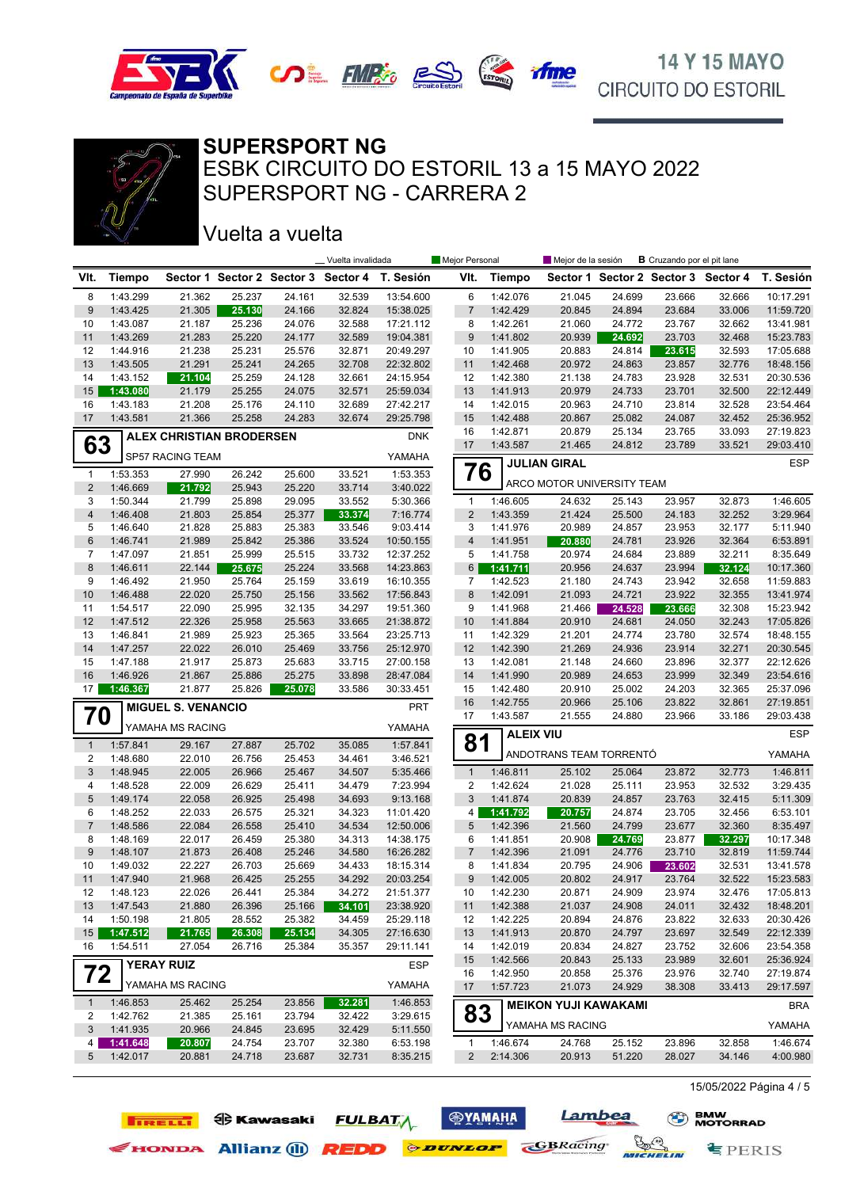



#### **SUPERSPORT NG**

SUPERSPORT NG - CARRERA 2 ESBK CIRCUITO DO ESTORIL 13 a 15 MAYO 2022

### Vuelta a vuelta

**IRELLI O** Kawasaki

|                  |                      |                                 |                  |                  | Vuelta invalidada                   |                        | Mejor Personal |                      | Mejor de la sesión          |                  | <b>B</b> Cruzando por el pit lane |                  |                        |
|------------------|----------------------|---------------------------------|------------------|------------------|-------------------------------------|------------------------|----------------|----------------------|-----------------------------|------------------|-----------------------------------|------------------|------------------------|
| VIt.             | <b>Tiempo</b>        |                                 |                  |                  | Sector 1 Sector 2 Sector 3 Sector 4 | T. Sesión              | VIt.           | <b>Tiempo</b>        |                             |                  | Sector 1 Sector 2 Sector 3        | Sector 4         | T. Sesión              |
| 8                | 1:43.299             | 21.362                          | 25.237           | 24.161           | 32.539                              | 13:54.600              | 6              | 1:42.076             | 21.045                      | 24.699           | 23.666                            | 32.666           | 10:17.291              |
| 9                | 1:43.425             | 21.305                          | 25.130           | 24.166           | 32.824                              | 15:38.025              | $\overline{7}$ | 1:42.429             | 20.845                      | 24.894           | 23.684                            | 33.006           | 11:59.720              |
| 10               | 1:43.087             | 21.187                          | 25.236           | 24.076           | 32.588                              | 17:21.112              | 8              | 1:42.261             | 21.060                      | 24.772           | 23.767                            | 32.662           | 13:41.981              |
| 11               | 1:43.269             | 21.283                          | 25.220           | 24.177           | 32.589                              | 19:04.381              | 9              | 1:41.802             | 20.939                      | 24.692           | 23.703                            | 32.468           | 15:23.783              |
| 12               | 1:44.916             | 21.238                          | 25.231           | 25.576           | 32.871                              | 20:49.297              | 10             | 1:41.905             | 20.883                      | 24.814           | 23.615                            | 32.593           | 17:05.688              |
| 13               | 1:43.505             | 21.291                          | 25.241           | 24.265           | 32.708                              | 22:32.802              | 11             | 1:42.468             | 20.972                      | 24.863           | 23.857                            | 32.776           | 18:48.156              |
| 14               | 1:43.152             | 21.104                          | 25.259           | 24.128           | 32.661                              | 24:15.954              | 12             | 1:42.380             | 21.138                      | 24.783           | 23.928                            | 32.531           | 20:30.536              |
| 15<br>16         | 1:43.080<br>1:43.183 | 21.179<br>21.208                | 25.255<br>25.176 | 24.075<br>24.110 | 32.571<br>32.689                    | 25:59.034<br>27:42.217 | 13<br>14       | 1:41.913<br>1:42.015 | 20.979<br>20.963            | 24.733<br>24.710 | 23.701<br>23.814                  | 32.500<br>32.528 | 22:12.449<br>23:54.464 |
| 17               | 1:43.581             | 21.366                          | 25.258           | 24.283           | 32.674                              | 29:25.798              | 15             | 1:42.488             | 20.867                      | 25.082           | 24.087                            | 32.452           | 25:36.952              |
|                  |                      |                                 |                  |                  |                                     |                        | 16             | 1:42.871             | 20.879                      | 25.134           | 23.765                            | 33.093           | 27:19.823              |
| 63               |                      | <b>ALEX CHRISTIAN BRODERSEN</b> |                  |                  |                                     | <b>DNK</b>             | 17             | 1:43.587             | 21.465                      | 24.812           | 23.789                            | 33.521           | 29:03.410              |
|                  |                      | SP57 RACING TEAM                |                  |                  |                                     | YAMAHA                 |                |                      | <b>JULIAN GIRAL</b>         |                  |                                   |                  | <b>ESP</b>             |
| 1                | 1:53.353             | 27.990                          | 26.242           | 25.600           | 33.521                              | 1:53.353               | 76             |                      |                             |                  |                                   |                  |                        |
| $\overline{c}$   | 1:46.669             | 21.792                          | 25.943           | 25.220           | 33.714                              | 3:40.022               |                |                      | ARCO MOTOR UNIVERSITY TEAM  |                  |                                   |                  |                        |
| 3                | 1:50.344             | 21.799                          | 25.898           | 29.095           | 33.552                              | 5:30.366               | $\mathbf{1}$   | 1:46.605             | 24.632                      | 25.143           | 23.957                            | 32.873           | 1:46.605               |
| 4                | 1:46.408             | 21.803                          | 25.854           | 25.377           | 33.374                              | 7:16.774               | $\overline{2}$ | 1:43.359             | 21.424                      | 25.500           | 24.183                            | 32.252           | 3:29.964               |
| 5                | 1:46.640             | 21.828                          | 25.883           | 25.383           | 33.546                              | 9:03.414               | 3              | 1:41.976             | 20.989                      | 24.857           | 23.953                            | 32.177           | 5:11.940               |
| 6                | 1:46.741             | 21.989                          | 25.842           | 25.386           | 33.524                              | 10:50.155              | $\overline{4}$ | 1:41.951             | 20.880                      | 24.781           | 23.926                            | 32.364           | 6:53.891               |
| 7<br>8           | 1:47.097<br>1:46.611 | 21.851<br>22.144                | 25.999           | 25.515           | 33.732<br>33.568                    | 12:37.252<br>14:23.863 | 5<br>6         | 1:41.758             | 20.974<br>20.956            | 24.684<br>24.637 | 23.889<br>23.994                  | 32.211           | 8:35.649<br>10:17.360  |
| 9                | 1:46.492             | 21.950                          | 25.675<br>25.764 | 25.224<br>25.159 | 33.619                              | 16:10.355              | 7              | 1:41.711<br>1:42.523 | 21.180                      | 24.743           | 23.942                            | 32.124<br>32.658 | 11:59.883              |
| 10               | 1:46.488             | 22.020                          | 25.750           | 25.156           | 33.562                              | 17:56.843              | 8              | 1:42.091             | 21.093                      | 24.721           | 23.922                            | 32.355           | 13:41.974              |
| 11               | 1:54.517             | 22.090                          | 25.995           | 32.135           | 34.297                              | 19:51.360              | 9              | 1:41.968             | 21.466                      | 24.528           | 23.666                            | 32.308           | 15:23.942              |
| 12               | 1:47.512             | 22.326                          | 25.958           | 25.563           | 33.665                              | 21:38.872              | 10             | 1:41.884             | 20.910                      | 24.681           | 24.050                            | 32.243           | 17:05.826              |
| 13               | 1:46.841             | 21.989                          | 25.923           | 25.365           | 33.564                              | 23:25.713              | 11             | 1:42.329             | 21.201                      | 24.774           | 23.780                            | 32.574           | 18:48.155              |
| 14               | 1:47.257             | 22.022                          | 26.010           | 25.469           | 33.756                              | 25:12.970              | 12             | 1:42.390             | 21.269                      | 24.936           | 23.914                            | 32.271           | 20:30.545              |
| 15               | 1:47.188             | 21.917                          | 25.873           | 25.683           | 33.715                              | 27:00.158              | 13             | 1:42.081             | 21.148                      | 24.660           | 23.896                            | 32.377           | 22:12.626              |
| 16               | 1:46.926             | 21.867                          | 25.886           | 25.275           | 33.898                              | 28:47.084              | 14             | 1:41.990             | 20.989                      | 24.653           | 23.999                            | 32.349           | 23:54.616              |
| 17               | 1:46.367             | 21.877                          | 25.826           | 25.078           | 33.586                              | 30:33.451              | 15             | 1:42.480             | 20.910                      | 25.002           | 24.203                            | 32.365           | 25:37.096              |
|                  |                      | <b>MIGUEL S. VENANCIO</b>       |                  |                  |                                     | PRT                    | 16             | 1:42.755             | 20.966                      | 25.106           | 23.822                            | 32.861           | 27:19.851              |
| 70               |                      | YAMAHA MS RACING                |                  |                  |                                     | YAMAHA                 | 17             | 1:43.587             | 21.555                      | 24.880           | 23.966                            | 33.186           | 29:03.438              |
| $\mathbf{1}$     | 1:57.841             |                                 | 27.887           | 25.702           | 35.085                              | 1:57.841               | 81             | <b>ALEIX VIU</b>     |                             |                  |                                   |                  | ESP                    |
| 2                | 1:48.680             | 29.167<br>22.010                | 26.756           | 25.453           | 34.461                              | 3:46.521               |                |                      | ANDOTRANS TEAM TORRENTÓ     |                  |                                   |                  | YAMAHA                 |
| 3                | 1:48.945             | 22.005                          | 26.966           | 25.467           | 34.507                              | 5:35.466               | $\mathbf{1}$   | 1:46.811             | 25.102                      | 25.064           | 23.872                            | 32.773           | 1:46.811               |
| 4                | 1:48.528             | 22.009                          | 26.629           | 25.411           | 34.479                              | 7:23.994               | 2              | 1:42.624             | 21.028                      | 25.111           | 23.953                            | 32.532           | 3:29.435               |
| 5                | 1:49.174             | 22.058                          | 26.925           | 25.498           | 34.693                              | 9:13.168               | 3              | 1:41.874             | 20.839                      | 24.857           | 23.763                            | 32.415           | 5:11.309               |
| 6                | 1:48.252             | 22.033                          | 26.575           | 25.321           | 34.323                              | 11:01.420              | 4              | 1:41.792             | 20.757                      | 24.874           | 23.705                            | 32.456           | 6:53.101               |
| 7                | 1:48.586             | 22.084                          | 26.558           | 25.410           | 34.534                              | 12:50.006              | 5              | 1:42.396             | 21.560                      | 24.799           | 23.677                            | 32.360           | 8:35.497               |
| 8                | 1:48.169             | 22.017                          | 26.459           | 25.380           | 34.313                              | 14:38.175              | 6              | 1:41.851             | 20.908                      | 24.769           | 23.877                            | 32.297           | 10:17.348              |
| 9                | 1:48.107             | 21.873                          | 26.408           | 25.246           | 34.580                              | 16:26.282              | 7              | 1:42.396             | 21.091                      | 24.776           | 23.710                            | 32.819           | 11:59.744              |
| 10               | 1:49.032             | 22.227                          | 26.703           | 25.669           | 34.433                              | 18:15.314              | 8              | 1:41.834             | 20.795                      | 24.906           | 23.602                            | 32.531           | 13:41.578              |
| 11               | 1:47.940             | 21.968                          | 26.425           | 25.255           | 34.292                              | 20:03.254              | 9              | 1:42.005             | 20.802                      | 24.917           | 23.764                            | 32.522           | 15:23.583              |
| 12               | 1:48.123             | 22.026                          | 26.441           | 25.384           | 34.272                              | 21:51.377              | 10             | 1:42.230             | 20.871                      | 24.909           | 23.974                            | 32.476           | 17:05.813              |
| 13               | 1:47.543             | 21.880                          | 26.396           | 25.166           | 34.101                              | 23:38.920              | 11             | 1:42.388             | 21.037                      | 24.908           | 24.011                            | 32.432           | 18:48.201              |
| 14               | 1:50.198             | 21.805                          | 28.552           | 25.382           | 34.459                              | 25:29.118              | 12             | 1:42.225             | 20.894                      | 24.876           | 23.822                            | 32.633           | 20:30.426              |
| 15 <sup>15</sup> | 1:47.512             | 21.765                          | 26.308           | 25.134           | 34.305                              | 27:16.630              | 13             | 1:41.913             | 20.870                      | 24.797           | 23.697                            | 32.549           | 22:12.339              |
| 16               | 1:54.511             | 27.054                          | 26.716           | 25.384           | 35.357                              | 29:11.141              | 14             | 1:42.019             | 20.834                      | 24.827           | 23.752                            | 32.606           | 23:54.358<br>25:36.924 |
| 72               |                      | <b>YERAY RUIZ</b>               |                  |                  |                                     | <b>ESP</b>             | 15<br>16       | 1:42.566<br>1:42.950 | 20.843<br>20.858            | 25.133<br>25.376 | 23.989<br>23.976                  | 32.601<br>32.740 | 27:19.874              |
|                  |                      | YAMAHA MS RACING                |                  |                  |                                     | YAMAHA                 | 17             | 1:57.723             | 21.073                      | 24.929           | 38.308                            | 33.413           | 29:17.597              |
| $\mathbf{1}$     | 1:46.853             | 25.462                          | 25.254           | 23.856           | 32.281                              | 1:46.853               |                |                      | <b>MEIKON YUJI KAWAKAMI</b> |                  |                                   |                  | <b>BRA</b>             |
| 2                | 1:42.762             | 21.385                          | 25.161           | 23.794           | 32.422                              | 3:29.615               | 83             |                      |                             |                  |                                   |                  |                        |
| 3                | 1:41.935             | 20.966                          | 24.845           | 23.695           | 32.429                              | 5:11.550               |                |                      | YAMAHA MS RACING            |                  |                                   |                  | YAMAHA                 |
| 4                | 1:41.648             | 20.807                          | 24.754           | 23.707           | 32.380                              | 6:53.198               | $\mathbf{1}$   | 1:46.674             | 24.768                      | 25.152           | 23.896                            | 32.858           | 1:46.674               |
| 5                | 1:42.017             | 20.881                          | 24.718           | 23.687           | 32.731                              | 8:35.215               | $\overline{2}$ | 2:14.306             | 20.913                      | 51.220           | 28.027                            | 34.146           | 4:00.980               |

15/05/2022 Página 4 / 5

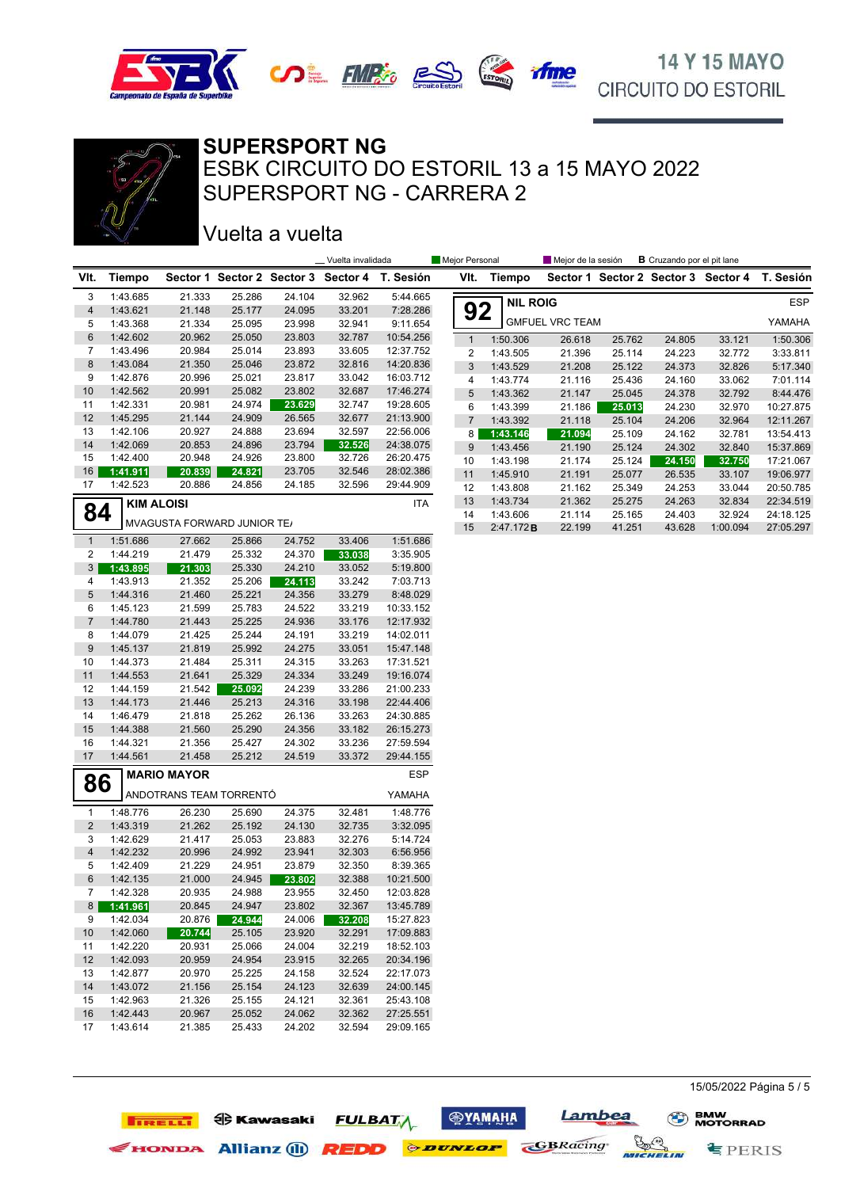



### **SUPERSPORT NG**

SUPERSPORT NG - CARRERA 2 ESBK CIRCUITO DO ESTORIL 13 a 15 MAYO 2022

## Vuelta a vuelta

|                |                   |                             |        |        | _ Vuelta invalidada                 |            | Mejor Personal |                 | Mejor de la sesión     |        | <b>B</b> Cruzando por el pit lane   |          |            |
|----------------|-------------------|-----------------------------|--------|--------|-------------------------------------|------------|----------------|-----------------|------------------------|--------|-------------------------------------|----------|------------|
| VIt.           | <b>Tiempo</b>     |                             |        |        | Sector 1 Sector 2 Sector 3 Sector 4 | T. Sesión  | VIt.           | Tiempo          |                        |        | Sector 1 Sector 2 Sector 3 Sector 4 |          | T. Sesión  |
| 3              | 1:43.685          | 21.333                      | 25.286 | 24.104 | 32.962                              | 5:44.665   |                | <b>NIL ROIG</b> |                        |        |                                     |          | <b>ESP</b> |
| 4              | 1:43.621          | 21.148                      | 25.177 | 24.095 | 33.201                              | 7:28.286   | 92             |                 |                        |        |                                     |          |            |
| 5              | 1:43.368          | 21.334                      | 25.095 | 23.998 | 32.941                              | 9:11.654   |                |                 | <b>GMFUEL VRC TEAM</b> |        |                                     |          | YAMAHA     |
| 6              | 1:42.602          | 20.962                      | 25.050 | 23.803 | 32.787                              | 10:54.256  | $\mathbf{1}$   | 1:50.306        | 26.618                 | 25.762 | 24.805                              | 33.121   | 1:50.306   |
| 7              | 1:43.496          | 20.984                      | 25.014 | 23.893 | 33.605                              | 12:37.752  | 2              | 1:43.505        | 21.396                 | 25.114 | 24.223                              | 32.772   | 3:33.811   |
| 8              | 1:43.084          | 21.350                      | 25.046 | 23.872 | 32.816                              | 14:20.836  | 3              | 1:43.529        | 21.208                 | 25.122 | 24.373                              | 32.826   | 5:17.340   |
| 9              | 1:42.876          | 20.996                      | 25.021 | 23.817 | 33.042                              | 16:03.712  | 4              | 1:43.774        | 21.116                 | 25.436 | 24.160                              | 33.062   | 7:01.114   |
| 10             | 1:42.562          | 20.991                      | 25.082 | 23.802 | 32.687                              | 17:46.274  | 5              | 1:43.362        | 21.147                 | 25.045 | 24.378                              | 32.792   | 8:44.476   |
| 11             | 1:42.331          | 20.981                      | 24.974 | 23.629 | 32.747                              | 19:28.605  | 6              | 1:43.399        | 21.186                 | 25.013 | 24.230                              | 32.970   | 10:27.875  |
| 12             | 1:45.295          | 21.144                      | 24.909 | 26.565 | 32.677                              | 21:13.900  | $\overline{7}$ | 1:43.392        | 21.118                 | 25.104 | 24.206                              | 32.964   | 12:11.267  |
| 13             | 1:42.106          | 20.927                      | 24.888 | 23.694 | 32.597                              | 22:56.006  | 8              | 1:43.146        | 21.094                 | 25.109 | 24.162                              | 32.781   | 13:54.413  |
| 14             | 1:42.069          | 20.853                      | 24.896 | 23.794 | 32.526                              | 24:38.075  | 9              | 1:43.456        | 21.190                 | 25.124 | 24.302                              | 32.840   | 15:37.869  |
| 15             | 1:42.400          | 20.948                      | 24.926 | 23.800 | 32.726                              | 26:20.475  | 10             | 1:43.198        | 21.174                 | 25.124 | 24.150                              | 32.750   | 17:21.067  |
| 16             | 1:41.911          | 20.839                      | 24.821 | 23.705 | 32.546                              | 28:02.386  | 11             | 1:45.910        | 21.191                 | 25.077 | 26.535                              | 33.107   | 19:06.977  |
| 17             | 1:42.523          | 20.886                      | 24.856 | 24.185 | 32.596                              | 29:44.909  | 12             | 1:43.808        | 21.162                 | 25.349 | 24.253                              | 33.044   | 20:50.785  |
|                | <b>KIM ALOISI</b> |                             |        |        |                                     | <b>ITA</b> | 13             | 1:43.734        | 21.362                 | 25.275 | 24.263                              | 32.834   | 22:34.519  |
| 84             |                   |                             |        |        |                                     |            | 14             | 1:43.606        | 21.114                 | 25.165 | 24.403                              | 32.924   | 24:18.125  |
|                |                   | MVAGUSTA FORWARD JUNIOR TE/ |        |        |                                     |            | 15             | 2:47.172B       | 22.199                 | 41.251 | 43.628                              | 1:00.094 | 27:05.297  |
| $\mathbf{1}$   | 1:51.686          | 27.662                      | 25.866 | 24.752 | 33.406                              | 1:51.686   |                |                 |                        |        |                                     |          |            |
| 2              | 1:44.219          | 21.479                      | 25.332 | 24.370 | 33.038                              | 3:35.905   |                |                 |                        |        |                                     |          |            |
| 3              | 1:43.895          | 21.303                      | 25.330 | 24.210 | 33.052                              | 5:19.800   |                |                 |                        |        |                                     |          |            |
| 4              | 1:43.913          | 21.352                      | 25.206 | 24.113 | 33.242                              | 7:03.713   |                |                 |                        |        |                                     |          |            |
| 5              | 1:44.316          | 21.460                      | 25.221 | 24.356 | 33.279                              | 8:48.029   |                |                 |                        |        |                                     |          |            |
| 6              | 1:45.123          | 21.599                      | 25.783 | 24.522 | 33.219                              | 10:33.152  |                |                 |                        |        |                                     |          |            |
| $\overline{7}$ | 1:44.780          | 21.443                      | 25.225 | 24.936 | 33.176                              | 12:17.932  |                |                 |                        |        |                                     |          |            |
| 8              | 1:44.079          | 21.425                      | 25.244 | 24.191 | 33.219                              | 14:02.011  |                |                 |                        |        |                                     |          |            |
| 9              | 1:45.137          | 21.819                      | 25.992 | 24.275 | 33.051                              | 15:47.148  |                |                 |                        |        |                                     |          |            |
| 10             | 1:44.373          | 21.484                      | 25.311 | 24.315 | 33.263                              | 17:31.521  |                |                 |                        |        |                                     |          |            |
| 11             | 1:44.553          | 21.641                      | 25.329 | 24.334 | 33.249                              | 19:16.074  |                |                 |                        |        |                                     |          |            |
| 12             | 1:44.159          | 21.542                      | 25.092 | 24.239 | 33.286                              | 21:00.233  |                |                 |                        |        |                                     |          |            |
| 13             | 1:44.173          | 21.446                      | 25.213 | 24.316 | 33.198                              | 22:44.406  |                |                 |                        |        |                                     |          |            |
| 14             | 1:46.479          | 21.818                      | 25.262 | 26.136 | 33.263                              | 24:30.885  |                |                 |                        |        |                                     |          |            |
| 15             | 1:44.388          | 21.560                      | 25.290 | 24.356 | 33.182                              | 26:15.273  |                |                 |                        |        |                                     |          |            |

| 17 | 1:44.561 | 21.458                  | 25.212 | 24.519 | 33.372 | 29:44.155  |
|----|----------|-------------------------|--------|--------|--------|------------|
| 86 |          | <b>MARIO MAYOR</b>      |        |        |        | <b>ESP</b> |
|    |          | ANDOTRANS TEAM TORRENTÓ |        |        |        | YAMAHA     |
| 1  | 1:48.776 | 26.230                  | 25.690 | 24.375 | 32.481 | 1:48.776   |
| 2  | 1:43.319 | 21.262                  | 25.192 | 24.130 | 32.735 | 3:32.095   |
| 3  | 1:42.629 | 21.417                  | 25.053 | 23.883 | 32.276 | 5:14.724   |
| 4  | 1:42.232 | 20.996                  | 24.992 | 23.941 | 32.303 | 6:56.956   |
| 5  | 1:42.409 | 21.229                  | 24.951 | 23.879 | 32.350 | 8:39.365   |
| 6  | 1:42.135 | 21.000                  | 24.945 | 23.802 | 32.388 | 10:21.500  |
| 7  | 1:42.328 | 20.935                  | 24.988 | 23.955 | 32.450 | 12:03.828  |
| 8  | 1:41.961 | 20.845                  | 24.947 | 23.802 | 32.367 | 13:45.789  |
| 9  | 1:42.034 | 20.876                  | 24.944 | 24.006 | 32.208 | 15:27.823  |
| 10 | 1:42.060 | 20.744                  | 25.105 | 23.920 | 32.291 | 17:09.883  |
| 11 | 1:42.220 | 20.931                  | 25.066 | 24.004 | 32.219 | 18:52.103  |
| 12 | 1:42.093 | 20.959                  | 24.954 | 23.915 | 32.265 | 20:34.196  |
| 13 | 1:42.877 | 20.970                  | 25.225 | 24.158 | 32.524 | 22:17.073  |
| 14 | 1:43.072 | 21.156                  | 25.154 | 24.123 | 32.639 | 24:00.145  |
| 15 | 1:42.963 | 21.326                  | 25.155 | 24.121 | 32.361 | 25:43.108  |
| 16 | 1:42.443 | 20.967                  | 25.052 | 24.062 | 32.362 | 27:25.551  |
| 17 | 1:43.614 | 21.385                  | 25.433 | 24.202 | 32.594 | 29:09.165  |

**IRELLI O** Kawasaki

**FULBAT** 

EHONDA Allianz (1) **REDD** *PUNLOP* 

**ФУАМАНА** 

Lambea

MICHELIN

**GBRacing** 

16 1:44.321 21.356 25.427 24.302 33.236 27:59.594

15/05/2022 Página 5 / 5

**专PERIS**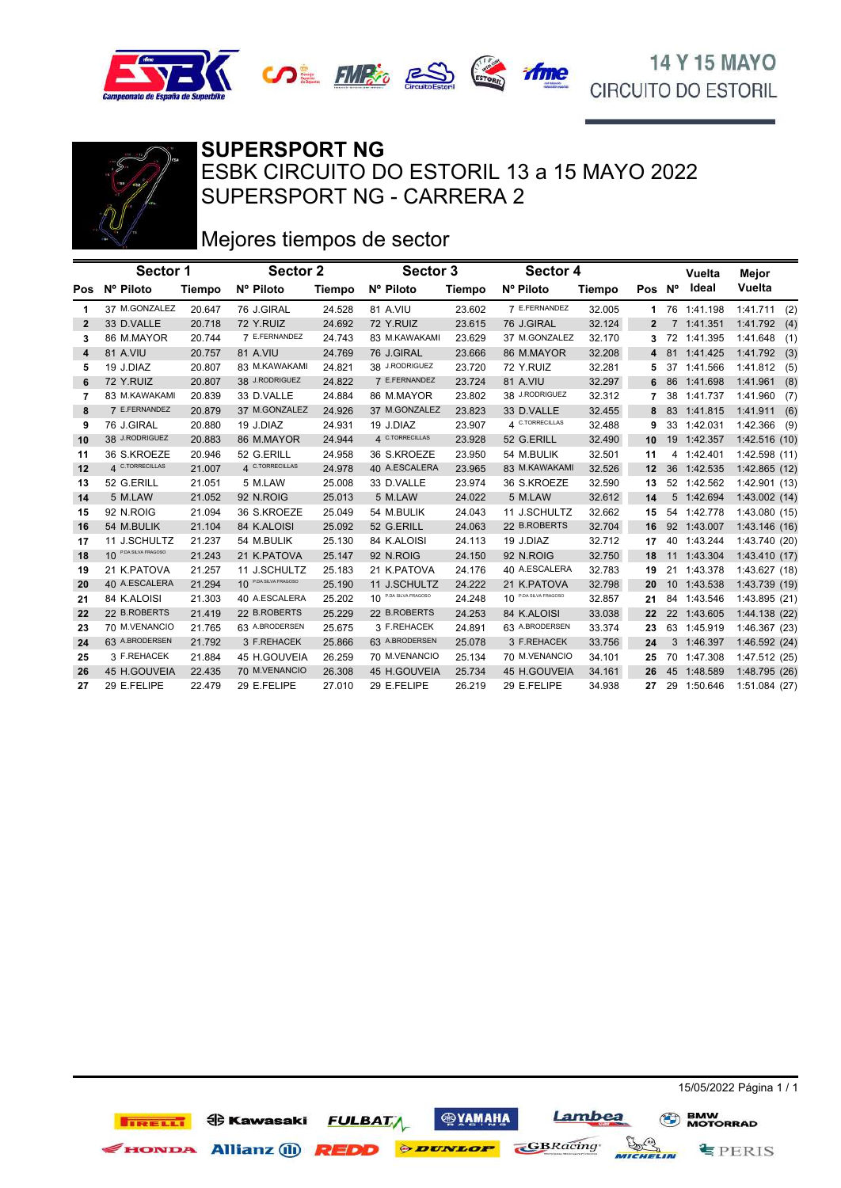





SUPERSPORT NG - CARRERA 2 ESBK CIRCUITO DO ESTORIL 13 a 15 MAYO 2022 **SUPERSPORT NG**

# Mejores tiempos de sector

|              | Sector 1              |        | Sector 2                               |               | Sector 3                         |        | Sector 4                         |        |                   |    | Vuelta      | Mejor           |
|--------------|-----------------------|--------|----------------------------------------|---------------|----------------------------------|--------|----------------------------------|--------|-------------------|----|-------------|-----------------|
| Pos          | Nº Piloto             | Tiempo | Nº Piloto                              | <b>Tiempo</b> | Nº Piloto                        | Tiempo | Nº Piloto                        | Tiempo | Pos Nº            |    | Ideal       | Vuelta          |
| 1            | 37 M.GONZALEZ         | 20.647 | 76 J.GIRAL                             | 24.528        | 81 A.VIU                         | 23.602 | 7 E.FERNANDEZ                    | 32.005 |                   |    | 76 1:41.198 | 1:41.711<br>(2) |
| $\mathbf{2}$ | 33 D.VALLE            | 20.718 | 72 Y.RUIZ                              | 24.692        | 72 Y.RUIZ                        | 23.615 | 76 J.GIRAL                       | 32.124 | $\mathbf{2}$      |    | 7 1:41.351  | 1:41.792(4)     |
| 3            | 86 M.MAYOR            | 20.744 | 7 E.FERNANDEZ                          | 24.743        | 83 M.KAWAKAMI                    | 23.629 | 37 M.GONZALEZ                    | 32.170 | 3                 |    | 72 1:41.395 | 1:41.648<br>(1) |
| 4            | 81 A.VIU              | 20.757 | <b>81 A.VIU</b>                        | 24.769        | 76 J.GIRAL                       | 23.666 | 86 M.MAYOR                       | 32.208 | 4                 |    | 81 1:41.425 | 1:41.792<br>(3) |
| 5            | 19 J.DIAZ             | 20.807 | 83 M.KAWAKAMI                          | 24.821        | 38 J.RODRIGUEZ                   | 23.720 | 72 Y.RUIZ                        | 32.281 |                   |    | 37 1:41.566 | 1:41.812<br>(5) |
| 6            | 72 Y.RUIZ             | 20.807 | 38 J.RODRIGUEZ                         | 24.822        | 7 E.FERNANDEZ                    | 23.724 | 81 A.VIU                         | 32.297 | 6                 |    | 86 1:41.698 | 1:41.961<br>(8) |
| 7            | 83 M.KAWAKAMI         | 20.839 | 33 D.VALLE                             | 24.884        | 86 M.MAYOR                       | 23.802 | 38 J.RODRIGUEZ                   | 32.312 |                   | 38 | 1:41.737    | 1:41.960<br>(7) |
| 8            | 7 E.FERNANDEZ         | 20.879 | 37 M.GONZALEZ                          | 24.926        | 37 M.GONZALEZ                    | 23.823 | 33 D.VALLE                       | 32.455 | 8                 |    | 83 1:41.815 | 1:41.911<br>(6) |
| 9            | 76 J.GIRAL            | 20.880 | 19 J.DIAZ                              | 24.931        | 19 J.DIAZ                        | 23.907 | 4 C.TORRECILLAS                  | 32.488 | 9                 |    | 33 1:42.031 | 1:42.366<br>(9) |
| 10           | 38 J.RODRIGUEZ        | 20.883 | 86 M.MAYOR                             | 24.944        | 4 C.TORRECILLAS                  | 23.928 | 52 G.ERILL                       | 32.490 | 10                |    | 19 1:42.357 | 1:42.516 (10)   |
| 11           | 36 S.KROEZE           | 20.946 | 52 G.ERILL                             | 24.958        | 36 S.KROEZE                      | 23.950 | 54 M.BULIK                       | 32.501 | 11                |    | 4 1:42.401  | 1:42.598 (11)   |
| 12           | 4 C.TORRECILLAS       | 21.007 | 4 C.TORRECILLAS                        | 24.978        | 40 A.ESCALERA                    | 23.965 | 83 M.KAWAKAMI                    | 32.526 | 12                |    | 36 1:42.535 | 1:42.865 (12)   |
| 13           | 52 G.ERILL            | 21.051 | 5 M.LAW                                | 25.008        | 33 D.VALLE                       | 23.974 | 36 S.KROEZE                      | 32.590 | 13                |    | 52 1:42.562 | 1:42.901 (13)   |
| 14           | 5 M.LAW               | 21.052 | 92 N.ROIG                              | 25.013        | 5 M.LAW                          | 24.022 | 5 M.LAW                          | 32.612 | 14                |    | 5 1:42.694  | 1:43.002(14)    |
| 15           | 92 N.ROIG             | 21.094 | 36 S.KROEZE                            | 25.049        | 54 M.BULIK                       | 24.043 | 11 J.SCHULTZ                     | 32.662 | 15                |    | 54 1:42.778 | 1:43.080 (15)   |
| 16           | 54 M.BULIK            | 21.104 | 84 K.ALOISI                            | 25.092        | 52 G.ERILL                       | 24.063 | 22 B.ROBERTS                     | 32.704 | 16                |    | 92 1:43.007 | 1:43.146(16)    |
| 17           | 11 J.SCHULTZ          | 21.237 | 54 M.BULIK                             | 25.130        | 84 K.ALOISI                      | 24.113 | 19 J.DIAZ                        | 32.712 | 17                |    | 40 1:43.244 | 1:43.740 (20)   |
| 18           | 10 P.DA SILVA FRAGOSO | 21.243 | 21 K.PATOVA                            | 25.147        | 92 N.ROIG                        | 24.150 | 92 N.ROIG                        | 32.750 | 18                |    | 11 1:43.304 | 1:43.410 (17)   |
| 19           | 21 K.PATOVA           | 21.257 | 11 J.SCHULTZ                           | 25.183        | 21 K.PATOVA                      | 24.176 | 40 A.ESCALERA                    | 32.783 | 19                | 21 | 1:43.378    | 1:43.627 (18)   |
| 20           | 40 A.ESCALERA         | 21.294 | P.DA SILVA FRAGOSO<br>10 <sup>10</sup> | 25.190        | 11 J.SCHULTZ                     | 24.222 | 21 K.PATOVA                      | 32.798 | 20                |    | 10 1:43.538 | 1:43.739 (19)   |
| 21           | 84 K.ALOISI           | 21.303 | 40 A.ESCALERA                          | 25.202        | 10 <sup>P.DA SILVA FRAGOSO</sup> | 24.248 | 10 <sup>P.DA SILVA FRAGOSO</sup> | 32.857 | 21                | 84 | 1:43.546    | 1:43.895 (21)   |
| 22           | 22 B.ROBERTS          | 21.419 | 22 B.ROBERTS                           | 25.229        | 22 B.ROBERTS                     | 24.253 | 84 K.ALOISI                      | 33.038 | $22 \overline{ }$ |    | 22 1:43.605 | 1:44.138 (22)   |
| 23           | 70 M.VENANCIO         | 21.765 | 63 A.BRODERSEN                         | 25.675        | 3 F.REHACEK                      | 24.891 | 63 A.BRODERSEN                   | 33.374 | 23                |    | 63 1:45.919 | 1:46.367 (23)   |
| 24           | 63 A.BRODERSEN        | 21.792 | 3 F.REHACEK                            | 25.866        | 63 A.BRODERSEN                   | 25.078 | 3 F.REHACEK                      | 33.756 | 24                |    | 3 1:46.397  | 1:46.592 (24)   |
| 25           | 3 F.REHACEK           | 21.884 | 45 H.GOUVEIA                           | 26.259        | 70 M.VENANCIO                    | 25.134 | 70 M.VENANCIO                    | 34.101 | 25                | 70 | 1:47.308    | 1:47.512 (25)   |
| 26           | 45 H.GOUVEIA          | 22.435 | 70 M.VENANCIO                          | 26.308        | 45 H.GOUVEIA                     | 25.734 | 45 H.GOUVEIA                     | 34.161 | 26                |    | 45 1:48.589 | 1:48.795 (26)   |
| 27           | 29 E.FELIPE           | 22.479 | 29 E.FELIPE                            | 27.010        | 29 E.FELIPE                      | 26.219 | 29 E.FELIPE                      | 34.938 | 27                |    | 29 1:50.646 | 1:51.084 (27)   |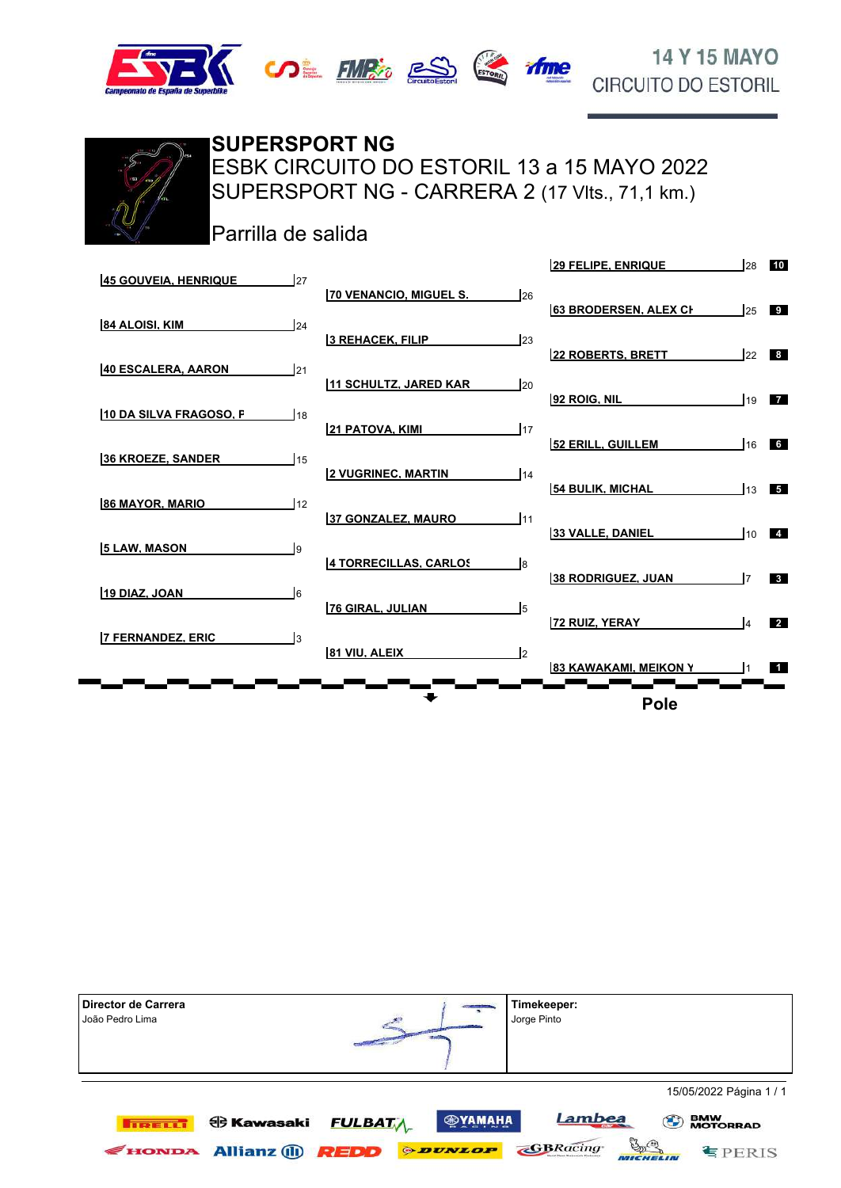





ESBK CIRCUITO DO ESTORIL 13 a 15 MAYO 2022 **SUPERSPORT NG**

SUPERSPORT NG - CARRERA 2 (17 Vlts., 71,1 km.)

Parrilla de salida

| 27<br><b>45 GOUVEIA, HENRIQUE</b> |                                    | <b>29 FELIPE, ENRIQUE</b><br>28    | 10              |
|-----------------------------------|------------------------------------|------------------------------------|-----------------|
|                                   | 70 VENANCIO, MIGUEL S.<br>26       |                                    |                 |
| 84 ALOISI, KIM<br>124             |                                    | <b>63 BRODERSEN, ALEX CH</b><br>25 | 9               |
|                                   | 3 REHACEK, FILIP<br>123            | <b>22 ROBERTS, BRETT</b><br>22     | 8               |
| 121<br>40 ESCALERA. AARON         | 11 SCHULTZ, JARED KAR<br><b>20</b> |                                    |                 |
| 10 DA SILVA FRAGOSO, F<br>18      |                                    | 92 ROIG, NIL<br>19                 | $\overline{7}$  |
|                                   | 117<br><b>21 PATOVA, KIMI</b>      | 52 ERILL, GUILLEM<br>16            | $6\overline{6}$ |
| 15<br><b>36 KROEZE, SANDER</b>    | <b>2 VUGRINEC. MARTIN</b><br>14    |                                    |                 |
| 12<br><b>86 MAYOR, MARIO</b>      |                                    | <b>54 BULIK, MICHAL</b><br>13      | 5 <sub>1</sub>  |
|                                   | 37 GONZALEZ, MAURO<br>111          | <b>33 VALLE, DANIEL</b><br>110     | $\overline{4}$  |
| <b>5 LAW, MASON</b><br>l9         | 4 TORRECILLAS, CARLOS<br>l8        |                                    |                 |
| l6<br>19 DIAZ, JOAN               |                                    | 38 RODRIGUEZ. JUAN                 | 3 <sup>1</sup>  |
|                                   | 76 GIRAL, JULIAN<br>l5             | <b>72 RUIZ, YERAY</b>              | $\overline{2}$  |
| Iз<br><b>7 FERNANDEZ. ERIC</b>    | 81 VIU, ALEIX<br>l2                |                                    |                 |
|                                   |                                    | 83 KAWAKAMI, MEIKON Y              | $\blacksquare$  |
|                                   |                                    | <b>Pole</b>                        |                 |

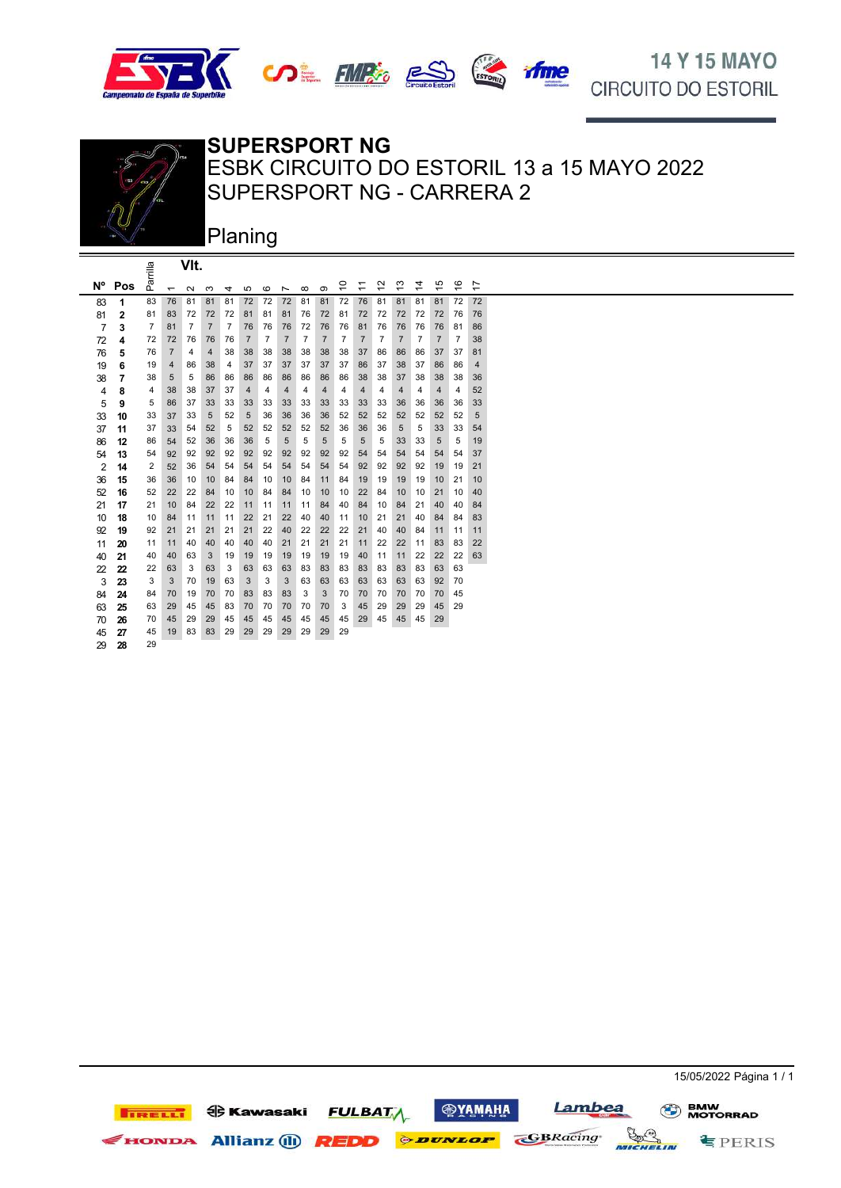







#### **SUPERSPORT NG**

SUPERSPORT NG - CARRERA 2 ESBK CIRCUITO DO ESTORIL 13 a 15 MAYO 2022

Planing

|                |              | ≡∎             |                          | VIt.           |                |                |                |                |                |                |                |                |                |                                    |                |                               |                               |                                     |                               |  |
|----------------|--------------|----------------|--------------------------|----------------|----------------|----------------|----------------|----------------|----------------|----------------|----------------|----------------|----------------|------------------------------------|----------------|-------------------------------|-------------------------------|-------------------------------------|-------------------------------|--|
| N°             | Pos          | ъă             | $\overline{\phantom{0}}$ | $\sim$         | S              | 4              | 5              | $\circ$        | Ľ              | $\infty$       | ၜ              | S              | ≑              | $\sim$<br>$\overline{\phantom{0}}$ | ო<br>٠         | 4<br>$\overline{\phantom{0}}$ | 5<br>$\overline{\phantom{0}}$ | $\circ$<br>$\overline{\phantom{0}}$ | Ľ<br>$\overline{\phantom{0}}$ |  |
| 83             | 1            | 83             | 76                       | 81             | 81             | 81             | 72             | 72             | 72             | 81             | 81             | 72             | 76             | 81                                 | 81             | 81                            | 81                            | 72                                  | 72                            |  |
| 81             | $\mathbf{2}$ | 81             | 83                       | 72             | 72             | 72             | 81             | 81             | 81             | 76             | 72             | 81             | 72             | 72                                 | 72             | 72                            | 72                            | 76                                  | 76                            |  |
| $\overline{7}$ | 3            | $\overline{7}$ | 81                       | $\overline{7}$ | $\overline{7}$ | $\overline{7}$ | 76             | 76             | 76             | 72             | 76             | 76             | 81             | 76                                 | 76             | 76                            | 76                            | 81                                  | 86                            |  |
| 72             | 4            | 72             | 72                       | 76             | 76             | 76             | $\overline{7}$ | $\overline{7}$ | $\overline{7}$ | $\overline{7}$ | $\overline{7}$ | $\overline{7}$ | $\overline{7}$ | $\overline{7}$                     | $\overline{7}$ | $\overline{7}$                | $\overline{7}$                | $\overline{7}$                      | 38                            |  |
| 76             | 5            | 76             | $\overline{7}$           | 4              | 4              | 38             | 38             | 38             | 38             | 38             | 38             | 38             | 37             | 86                                 | 86             | 86                            | 37                            | 37                                  | 81                            |  |
| 19             | 6            | 19             | 4                        | 86             | 38             | 4              | 37             | 37             | 37             | 37             | 37             | 37             | 86             | 37                                 | 38             | 37                            | 86                            | 86                                  | 4                             |  |
| 38             | 7            | 38             | 5                        | 5              | 86             | 86             | 86             | 86             | 86             | 86             | 86             | 86             | 38             | 38                                 | 37             | 38                            | 38                            | 38                                  | 36                            |  |
| $\overline{4}$ | 8            | 4              | 38                       | 38             | 37             | 37             | 4              | 4              | 4              | 4              | 4              | 4              | $\overline{4}$ | 4                                  | 4              | 4                             | 4                             | 4                                   | 52                            |  |
| 5              | 9            | 5              | 86                       | 37             | 33             | 33             | 33             | 33             | 33             | 33             | 33             | 33             | 33             | 33                                 | 36             | 36                            | 36                            | 36                                  | 33                            |  |
| 33             | 10           | 33             | 37                       | 33             | 5              | 52             | 5              | 36             | 36             | 36             | 36             | 52             | 52             | 52                                 | 52             | 52                            | 52                            | 52                                  | 5                             |  |
| 37             | 11           | 37             | 33                       | 54             | 52             | 5              | 52             | 52             | 52             | 52             | 52             | 36             | 36             | 36                                 | 5              | 5                             | 33                            | 33                                  | 54                            |  |
| 86             | 12           | 86             | 54                       | 52             | 36             | 36             | 36             | 5              | 5              | 5              | 5              | 5              | 5              | 5                                  | 33             | 33                            | 5                             | 5                                   | 19                            |  |
| 54             | 13           | 54             | 92                       | 92             | 92             | 92             | 92             | 92             | 92             | 92             | 92             | 92             | 54             | 54                                 | 54             | 54                            | 54                            | 54                                  | 37                            |  |
| $\overline{2}$ | 14           | $\overline{2}$ | 52                       | 36             | 54             | 54             | 54             | 54             | 54             | 54             | 54             | 54             | 92             | 92                                 | 92             | 92                            | 19                            | 19                                  | 21                            |  |
| 36             | 15           | 36             | 36                       | 10             | 10             | 84             | 84             | 10             | 10             | 84             | 11             | 84             | 19             | 19                                 | 19             | 19                            | 10                            | 21                                  | 10                            |  |
| 52             | 16           | 52             | 22                       | 22             | 84             | 10             | 10             | 84             | 84             | 10             | 10             | 10             | 22             | 84                                 | 10             | 10                            | 21                            | 10                                  | 40                            |  |
| 21             | 17           | 21             | 10                       | 84             | 22             | 22             | 11             | 11             | 11             | 11             | 84             | 40             | 84             | 10                                 | 84             | 21                            | 40                            | 40                                  | 84                            |  |
| 10             | 18           | 10             | 84                       | 11             | 11             | 11             | 22             | 21             | 22             | 40             | 40             | 11             | 10             | 21                                 | 21             | 40                            | 84                            | 84                                  | 83                            |  |
| 92             | 19           | 92             | 21                       | 21             | 21             | 21             | 21             | 22             | 40             | 22             | 22             | 22             | 21             | 40                                 | 40             | 84                            | 11                            | 11                                  | 11                            |  |
| 11             | 20           | 11             | 11                       | 40             | 40             | 40             | 40             | 40             | 21             | 21             | 21             | 21             | 11             | 22                                 | 22             | 11                            | 83                            | 83                                  | 22                            |  |
| 40             | 21           | 40             | 40                       | 63             | 3              | 19             | 19             | 19             | 19             | 19             | 19             | 19             | 40             | 11                                 | 11             | 22                            | 22                            | 22                                  | 63                            |  |
| 22             | 22           | 22             | 63                       | 3              | 63             | 3              | 63             | 63             | 63             | 83             | 83             | 83             | 83             | 83                                 | 83             | 83                            | 63                            | 63                                  |                               |  |
| 3              | 23           | 3              | 3                        | 70             | 19             | 63             | 3              | 3              | 3              | 63             | 63             | 63             | 63             | 63                                 | 63             | 63                            | 92                            | 70                                  |                               |  |
| 84             | 24           | 84             | 70                       | 19             | 70             | 70             | 83             | 83             | 83             | 3              | 3              | 70             | 70             | 70                                 | 70             | 70                            | 70                            | 45                                  |                               |  |
| 63             | 25           | 63             | 29                       | 45             | 45             | 83             | 70             | 70             | 70             | 70             | 70             | 3              | 45             | 29                                 | 29             | 29                            | 45                            | 29                                  |                               |  |
| 70             | 26           | 70             | 45                       | 29             | 29             | 45             | 45             | 45             | 45             | 45             | 45             | 45             | 29             | 45                                 | 45             | 45                            | 29                            |                                     |                               |  |
| 45             | 27           | 45             | 19                       | 83             | 83             | 29             | 29             | 29             | 29             | 29             | 29             | 29             |                |                                    |                |                               |                               |                                     |                               |  |
| 29             | 28           | 29             |                          |                |                |                |                |                |                |                |                |                |                |                                    |                |                               |                               |                                     |                               |  |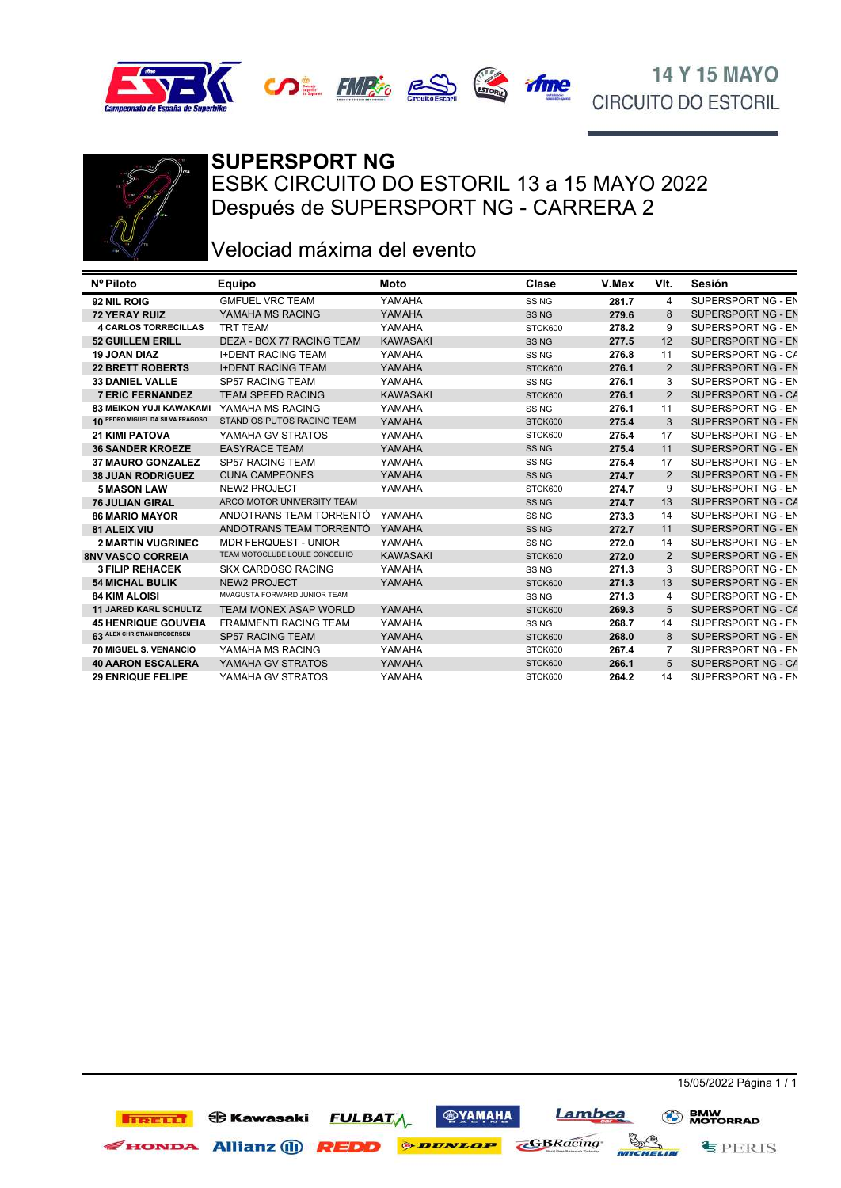







#### **SUPERSPORT NG**

ESBK CIRCUITO DO ESTORIL 13 a 15 MAYO 2022 Después de SUPERSPORT NG - CARRERA 2

### Velociad máxima del evento

| Nº Piloto                        | Equipo                        | Moto            | Clase            | V.Max | VIt.           | Sesión             |
|----------------------------------|-------------------------------|-----------------|------------------|-------|----------------|--------------------|
| 92 NIL ROIG                      | <b>GMFUEL VRC TEAM</b>        | YAMAHA          | SS <sub>NG</sub> | 281.7 | 4              | SUPERSPORT NG - EN |
| <b>72 YERAY RUIZ</b>             | YAMAHA MS RACING              | YAMAHA          | SS <sub>NG</sub> | 279.6 | 8              | SUPERSPORT NG - EN |
| <b>4 CARLOS TORRECILLAS</b>      | <b>TRT TEAM</b>               | YAMAHA          | STCK600          | 278.2 | 9              | SUPERSPORT NG - EN |
| <b>52 GUILLEM ERILL</b>          | DEZA - BOX 77 RACING TEAM     | <b>KAWASAKI</b> | SS <sub>NG</sub> | 277.5 | 12             | SUPERSPORT NG - EN |
| <b>19 JOAN DIAZ</b>              | <b>I+DENT RACING TEAM</b>     | YAMAHA          | SS <sub>NG</sub> | 276.8 | 11             | SUPERSPORT NG - CA |
| <b>22 BRETT ROBERTS</b>          | <b>I+DENT RACING TEAM</b>     | YAMAHA          | STCK600          | 276.1 | $\overline{2}$ | SUPERSPORT NG - EN |
| <b>33 DANIEL VALLE</b>           | <b>SP57 RACING TEAM</b>       | YAMAHA          | SS <sub>NG</sub> | 276.1 | 3              | SUPERSPORT NG - EN |
| <b>7 ERIC FERNANDEZ</b>          | <b>TEAM SPEED RACING</b>      | <b>KAWASAKI</b> | STCK600          | 276.1 | 2              | SUPERSPORT NG - C/ |
| 83 MEIKON YUJI KAWAKAMI          | YAMAHA MS RACING              | YAMAHA          | SS <sub>NG</sub> | 276.1 | 11             | SUPERSPORT NG - EN |
| 10 PEDRO MIGUEL DA SILVA FRAGOSO | STAND OS PUTOS RACING TEAM    | YAMAHA          | STCK600          | 275.4 | 3              | SUPERSPORT NG - EN |
| <b>21 KIMI PATOVA</b>            | YAMAHA GV STRATOS             | YAMAHA          | STCK600          | 275.4 | 17             | SUPERSPORT NG - EN |
| <b>36 SANDER KROEZE</b>          | <b>EASYRACE TEAM</b>          | YAMAHA          | SS <sub>NG</sub> | 275.4 | 11             | SUPERSPORT NG - EN |
| <b>37 MAURO GONZALEZ</b>         | <b>SP57 RACING TEAM</b>       | YAMAHA          | SS <sub>NG</sub> | 275.4 | 17             | SUPERSPORT NG - EN |
| <b>38 JUAN RODRIGUEZ</b>         | <b>CUNA CAMPEONES</b>         | YAMAHA          | SS <sub>NG</sub> | 274.7 | 2              | SUPERSPORT NG - EN |
| <b>5 MASON LAW</b>               | <b>NEW2 PROJECT</b>           | YAMAHA          | STCK600          | 274.7 | 9              | SUPERSPORT NG - EN |
| <b>76 JULIAN GIRAL</b>           | ARCO MOTOR UNIVERSITY TEAM    |                 | SS <sub>NG</sub> | 274.7 | 13             | SUPERSPORT NG - CA |
| <b>86 MARIO MAYOR</b>            | ANDOTRANS TEAM TORRENTÓ       | YAMAHA          | SS <sub>NG</sub> | 273.3 | 14             | SUPERSPORT NG - EN |
| <b>81 ALEIX VIU</b>              | ANDOTRANS TEAM TORRENTÓ       | YAMAHA          | SS <sub>NG</sub> | 272.7 | 11             | SUPERSPORT NG - EN |
| <b>2 MARTIN VUGRINEC</b>         | <b>MDR FERQUEST - UNIOR</b>   | YAMAHA          | SS <sub>NG</sub> | 272.0 | 14             | SUPERSPORT NG - EN |
| <b>8NV VASCO CORREIA</b>         | TEAM MOTOCLUBE LOULE CONCELHO | <b>KAWASAKI</b> | STCK600          | 272.0 | 2              | SUPERSPORT NG - EN |
| <b>3 FILIP REHACEK</b>           | <b>SKX CARDOSO RACING</b>     | YAMAHA          | SS <sub>NG</sub> | 271.3 | 3              | SUPERSPORT NG - EN |
| <b>54 MICHAL BULIK</b>           | <b>NEW2 PROJECT</b>           | YAMAHA          | STCK600          | 271.3 | 13             | SUPERSPORT NG - EN |
| <b>84 KIM ALOISI</b>             | MVAGUSTA FORWARD JUNIOR TEAM  |                 | SS <sub>NG</sub> | 271.3 | 4              | SUPERSPORT NG - EN |
| <b>11 JARED KARL SCHULTZ</b>     | <b>TEAM MONEX ASAP WORLD</b>  | YAMAHA          | STCK600          | 269.3 | 5              | SUPERSPORT NG - CA |
| <b>45 HENRIQUE GOUVEIA</b>       | <b>FRAMMENTI RACING TEAM</b>  | YAMAHA          | SS <sub>NG</sub> | 268.7 | 14             | SUPERSPORT NG - EN |
| 63 ALEX CHRISTIAN BRODERSEN      | <b>SP57 RACING TEAM</b>       | YAMAHA          | STCK600          | 268.0 | 8              | SUPERSPORT NG - EN |
| 70 MIGUEL S. VENANCIO            | YAMAHA MS RACING              | YAMAHA          | STCK600          | 267.4 | 7              | SUPERSPORT NG - EN |
| <b>40 AARON ESCALERA</b>         | YAMAHA GV STRATOS             | YAMAHA          | STCK600          | 266.1 | 5              | SUPERSPORT NG - CA |
| <b>29 ENRIQUE FELIPE</b>         | YAMAHA GV STRATOS             | YAMAHA          | STCK600          | 264.2 | 14             | SUPERSPORT NG - EN |

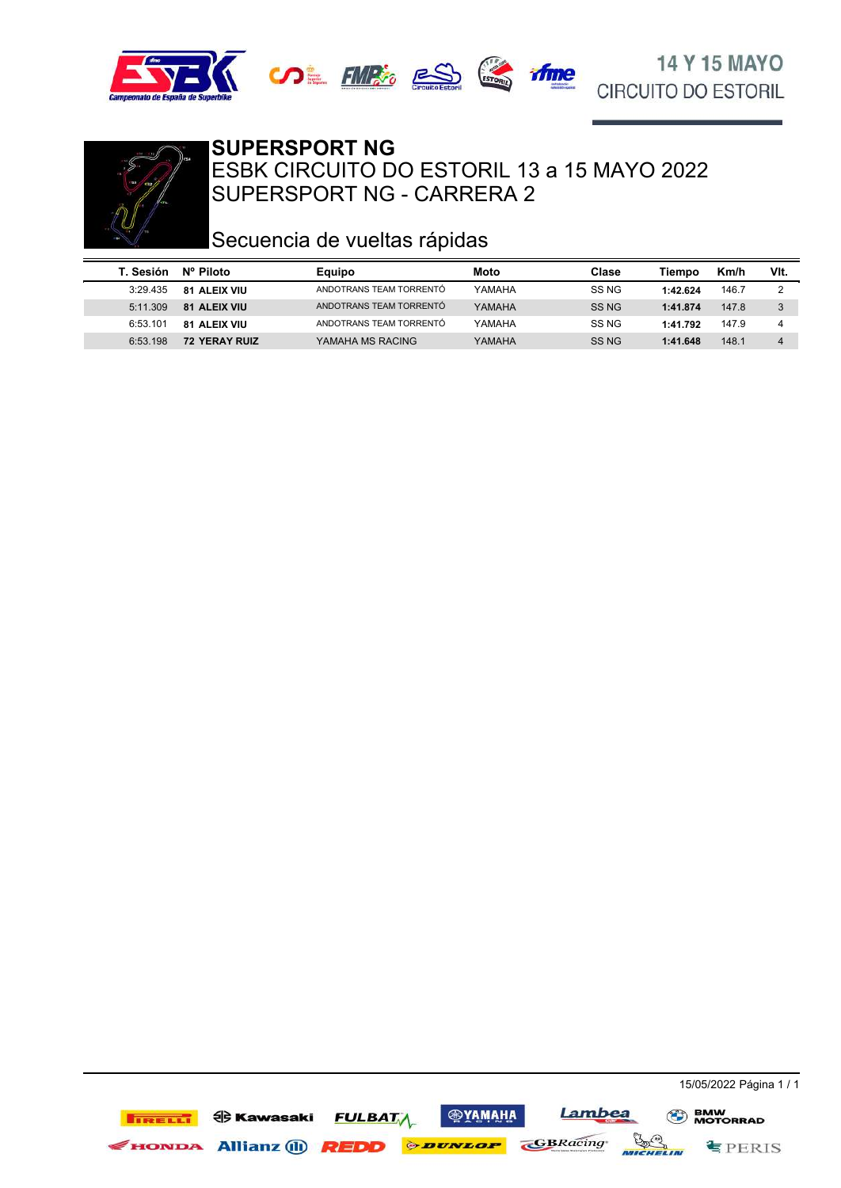





#### SUPERSPORT NG - CARRERA 2 ESBK CIRCUITO DO ESTORIL 13 a 15 MAYO 2022 **SUPERSPORT NG**

## Secuencia de vueltas rápidas

| T. Sesión | Nº Piloto            | Equipo                  | Moto   | Clase            | Tiempo   | Km/h  | VIt.           |
|-----------|----------------------|-------------------------|--------|------------------|----------|-------|----------------|
| 3:29.435  | <b>81 ALEIX VIU</b>  | ANDOTRANS TEAM TORRENTO | YAMAHA | SS NG            | 1:42.624 | 146.7 |                |
| 5:11.309  | <b>81 ALEIX VIU</b>  | ANDOTRANS TEAM TORRENTÓ | YAMAHA | SS NG            | 1:41.874 | 147.8 | 3              |
| 6:53.101  | <b>81 ALEIX VIU</b>  | ANDOTRANS TEAM TORRENTÓ | YAMAHA | SS NG            | 1:41.792 | 147.9 | 4              |
| 6:53.198  | <b>72 YERAY RUIZ</b> | YAMAHA MS RACING        | YAMAHA | SS <sub>NG</sub> | 1:41.648 | 148.1 | $\overline{4}$ |